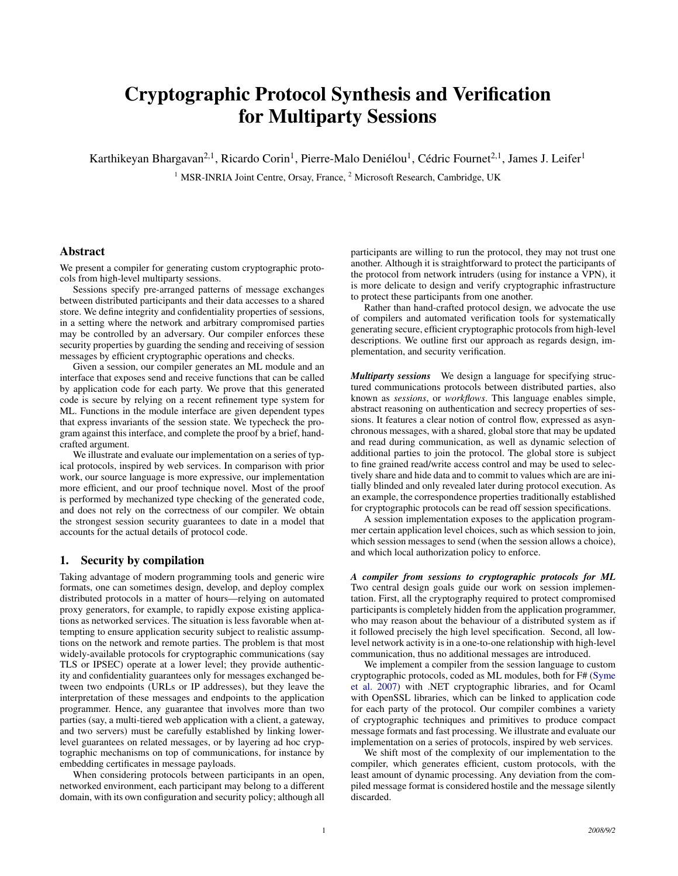# Cryptographic Protocol Synthesis and Verification for Multiparty Sessions

Karthikeyan Bhargavan<sup>2, 1</sup>, Ricardo Corin<sup>1</sup>, Pierre-Malo Deniélou<sup>1</sup>, Cédric Fournet<sup>2, 1</sup>, James J. Leifer<sup>1</sup>

<sup>1</sup> MSR-INRIA Joint Centre, Orsay, France, <sup>2</sup> Microsoft Research, Cambridge, UK

## Abstract

We present a compiler for generating custom cryptographic protocols from high-level multiparty sessions.

Sessions specify pre-arranged patterns of message exchanges between distributed participants and their data accesses to a shared store. We define integrity and confidentiality properties of sessions, in a setting where the network and arbitrary compromised parties may be controlled by an adversary. Our compiler enforces these security properties by guarding the sending and receiving of session messages by efficient cryptographic operations and checks.

Given a session, our compiler generates an ML module and an interface that exposes send and receive functions that can be called by application code for each party. We prove that this generated code is secure by relying on a recent refinement type system for ML. Functions in the module interface are given dependent types that express invariants of the session state. We typecheck the program against this interface, and complete the proof by a brief, handcrafted argument.

We illustrate and evaluate our implementation on a series of typical protocols, inspired by web services. In comparison with prior work, our source language is more expressive, our implementation more efficient, and our proof technique novel. Most of the proof is performed by mechanized type checking of the generated code, and does not rely on the correctness of our compiler. We obtain the strongest session security guarantees to date in a model that accounts for the actual details of protocol code.

## 1. Security by compilation

Taking advantage of modern programming tools and generic wire formats, one can sometimes design, develop, and deploy complex distributed protocols in a matter of hours—relying on automated proxy generators, for example, to rapidly expose existing applications as networked services. The situation is less favorable when attempting to ensure application security subject to realistic assumptions on the network and remote parties. The problem is that most widely-available protocols for cryptographic communications (say TLS or IPSEC) operate at a lower level; they provide authenticity and confidentiality guarantees only for messages exchanged between two endpoints (URLs or IP addresses), but they leave the interpretation of these messages and endpoints to the application programmer. Hence, any guarantee that involves more than two parties (say, a multi-tiered web application with a client, a gateway, and two servers) must be carefully established by linking lowerlevel guarantees on related messages, or by layering ad hoc cryptographic mechanisms on top of communications, for instance by embedding certificates in message payloads.

When considering protocols between participants in an open, networked environment, each participant may belong to a different domain, with its own configuration and security policy; although all

participants are willing to run the protocol, they may not trust one another. Although it is straightforward to protect the participants of the protocol from network intruders (using for instance a VPN), it is more delicate to design and verify cryptographic infrastructure to protect these participants from one another.

Rather than hand-crafted protocol design, we advocate the use of compilers and automated verification tools for systematically generating secure, efficient cryptographic protocols from high-level descriptions. We outline first our approach as regards design, implementation, and security verification.

*Multiparty sessions* We design a language for specifying structured communications protocols between distributed parties, also known as *sessions*, or *workflows*. This language enables simple, abstract reasoning on authentication and secrecy properties of sessions. It features a clear notion of control flow, expressed as asynchronous messages, with a shared, global store that may be updated and read during communication, as well as dynamic selection of additional parties to join the protocol. The global store is subject to fine grained read/write access control and may be used to selectively share and hide data and to commit to values which are are initially blinded and only revealed later during protocol execution. As an example, the correspondence properties traditionally established for cryptographic protocols can be read off session specifications.

A session implementation exposes to the application programmer certain application level choices, such as which session to join, which session messages to send (when the session allows a choice), and which local authorization policy to enforce.

*A compiler from sessions to cryptographic protocols for ML* Two central design goals guide our work on session implementation. First, all the cryptography required to protect compromised participants is completely hidden from the application programmer, who may reason about the behaviour of a distributed system as if it followed precisely the high level specification. Second, all lowlevel network activity is in a one-to-one relationship with high-level communication, thus no additional messages are introduced.

We implement a compiler from the session language to custom cryptographic protocols, coded as ML modules, both for F# [\(Syme](#page-14-0) [et al.](#page-14-0) [2007\)](#page-14-0) with .NET cryptographic libraries, and for Ocaml with OpenSSL libraries, which can be linked to application code for each party of the protocol. Our compiler combines a variety of cryptographic techniques and primitives to produce compact message formats and fast processing. We illustrate and evaluate our implementation on a series of protocols, inspired by web services.

We shift most of the complexity of our implementation to the compiler, which generates efficient, custom protocols, with the least amount of dynamic processing. Any deviation from the compiled message format is considered hostile and the message silently discarded.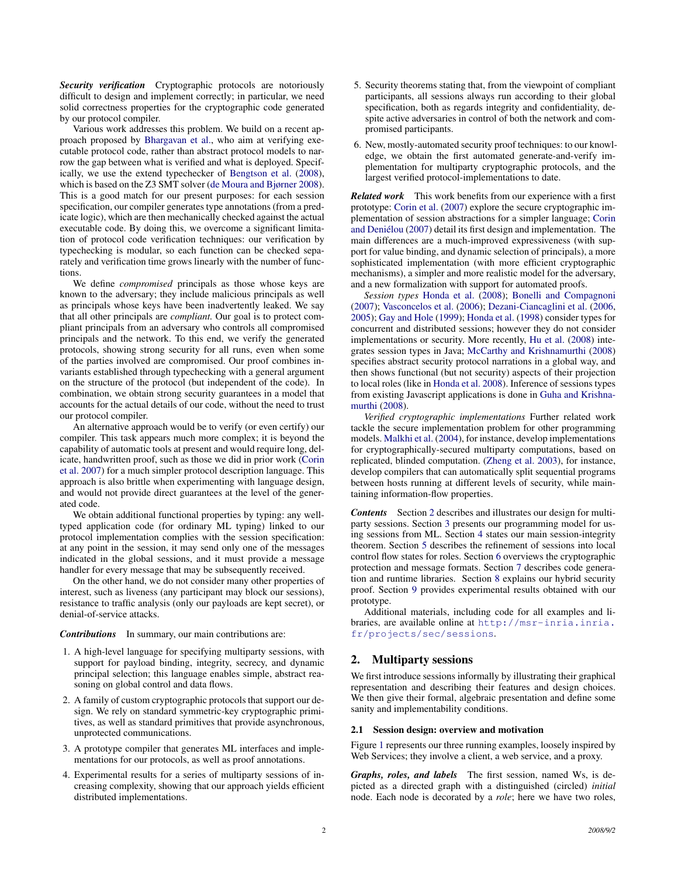*Security verification* Cryptographic protocols are notoriously difficult to design and implement correctly; in particular, we need solid correctness properties for the cryptographic code generated by our protocol compiler.

Various work addresses this problem. We build on a recent approach proposed by [Bhargavan et al.,](#page-14-1) who aim at verifying executable protocol code, rather than abstract protocol models to narrow the gap between what is verified and what is deployed. Specifically, we use the extend typechecker of [Bengtson et al.](#page-14-2) [\(2008\)](#page-14-2), which is based on the Z3 SMT solver [\(de Moura and Bjørner](#page-14-3) [2008\)](#page-14-3). This is a good match for our present purposes: for each session specification, our compiler generates type annotations (from a predicate logic), which are then mechanically checked against the actual executable code. By doing this, we overcome a significant limitation of protocol code verification techniques: our verification by typechecking is modular, so each function can be checked separately and verification time grows linearly with the number of functions.

We define *compromised* principals as those whose keys are known to the adversary; they include malicious principals as well as principals whose keys have been inadvertently leaked. We say that all other principals are *compliant.* Our goal is to protect compliant principals from an adversary who controls all compromised principals and the network. To this end, we verify the generated protocols, showing strong security for all runs, even when some of the parties involved are compromised. Our proof combines invariants established through typechecking with a general argument on the structure of the protocol (but independent of the code). In combination, we obtain strong security guarantees in a model that accounts for the actual details of our code, without the need to trust our protocol compiler.

An alternative approach would be to verify (or even certify) our compiler. This task appears much more complex; it is beyond the capability of automatic tools at present and would require long, delicate, handwritten proof, such as those we did in prior work [\(Corin](#page-14-4) [et al.](#page-14-4) [2007\)](#page-14-4) for a much simpler protocol description language. This approach is also brittle when experimenting with language design, and would not provide direct guarantees at the level of the generated code.

We obtain additional functional properties by typing: any welltyped application code (for ordinary ML typing) linked to our protocol implementation complies with the session specification: at any point in the session, it may send only one of the messages indicated in the global sessions, and it must provide a message handler for every message that may be subsequently received.

On the other hand, we do not consider many other properties of interest, such as liveness (any participant may block our sessions), resistance to traffic analysis (only our payloads are kept secret), or denial-of-service attacks.

#### *Contributions* In summary, our main contributions are:

- 1. A high-level language for specifying multiparty sessions, with support for payload binding, integrity, secrecy, and dynamic principal selection; this language enables simple, abstract reasoning on global control and data flows.
- 2. A family of custom cryptographic protocols that support our design. We rely on standard symmetric-key cryptographic primitives, as well as standard primitives that provide asynchronous, unprotected communications.
- 3. A prototype compiler that generates ML interfaces and implementations for our protocols, as well as proof annotations.
- 4. Experimental results for a series of multiparty sessions of increasing complexity, showing that our approach yields efficient distributed implementations.
- 5. Security theorems stating that, from the viewpoint of compliant participants, all sessions always run according to their global specification, both as regards integrity and confidentiality, despite active adversaries in control of both the network and compromised participants.
- 6. New, mostly-automated security proof techniques: to our knowledge, we obtain the first automated generate-and-verify implementation for multiparty cryptographic protocols, and the largest verified protocol-implementations to date.

*Related work* This work benefits from our experience with a first prototype: [Corin et al.](#page-14-4) [\(2007\)](#page-14-4) explore the secure cryptographic implementation of session abstractions for a simpler language; [Corin](#page-14-5) and Deniélou [\(2007\)](#page-14-5) detail its first design and implementation. The main differences are a much-improved expressiveness (with support for value binding, and dynamic selection of principals), a more sophisticated implementation (with more efficient cryptographic mechanisms), a simpler and more realistic model for the adversary, and a new formalization with support for automated proofs.

*Session types* [Honda et al.](#page-14-6) [\(2008\)](#page-14-6); [Bonelli and Compagnoni](#page-14-7) [\(2007\)](#page-14-7); [Vasconcelos et al.](#page-14-8) [\(2006\)](#page-14-8); [Dezani-Ciancaglini et al.](#page-14-9) [\(2006,](#page-14-9) [2005\)](#page-14-10); [Gay and Hole](#page-14-11) [\(1999\)](#page-14-11); [Honda et al.](#page-14-12) [\(1998\)](#page-14-12) consider types for concurrent and distributed sessions; however they do not consider implementations or security. More recently, [Hu et al.](#page-14-13) [\(2008\)](#page-14-13) integrates session types in Java; [McCarthy and Krishnamurthi](#page-14-14) [\(2008\)](#page-14-14) specifies abstract security protocol narrations in a global way, and then shows functional (but not security) aspects of their projection to local roles (like in [Honda et al.](#page-14-6) [2008\)](#page-14-6). Inference of sessions types from existing Javascript applications is done in [Guha and Krishna](#page-14-15)[murthi](#page-14-15) [\(2008\)](#page-14-15).

*Verified cryptographic implementations* Further related work tackle the secure implementation problem for other programming models. [Malkhi et al.](#page-14-16) [\(2004\)](#page-14-16), for instance, develop implementations for cryptographically-secured multiparty computations, based on replicated, blinded computation. [\(Zheng et al.](#page-14-17) [2003\)](#page-14-17), for instance, develop compilers that can automatically split sequential programs between hosts running at different levels of security, while maintaining information-flow properties.

*Contents* Section [2](#page-1-0) describes and illustrates our design for multiparty sessions. Section [3](#page-3-0) presents our programming model for using sessions from ML. Section [4](#page-5-0) states our main session-integrity theorem. Section [5](#page-6-0) describes the refinement of sessions into local control flow states for roles. Section [6](#page-6-1) overviews the cryptographic protection and message formats. Section [7](#page-7-0) describes code generation and runtime libraries. Section [8](#page-9-0) explains our hybrid security proof. Section [9](#page-13-0) provides experimental results obtained with our prototype.

Additional materials, including code for all examples and libraries, are available online at [http://msr-inria.inria.](http://msr-inria.inria.fr/projects/sec/sessions) [fr/projects/sec/sessions](http://msr-inria.inria.fr/projects/sec/sessions).

# <span id="page-1-0"></span>2. Multiparty sessions

We first introduce sessions informally by illustrating their graphical representation and describing their features and design choices. We then give their formal, algebraic presentation and define some sanity and implementability conditions.

#### 2.1 Session design: overview and motivation

Figure [1](#page-2-0) represents our three running examples, loosely inspired by Web Services; they involve a client, a web service, and a proxy.

*Graphs, roles, and labels* The first session, named Ws, is depicted as a directed graph with a distinguished (circled) *initial* node. Each node is decorated by a *role*; here we have two roles,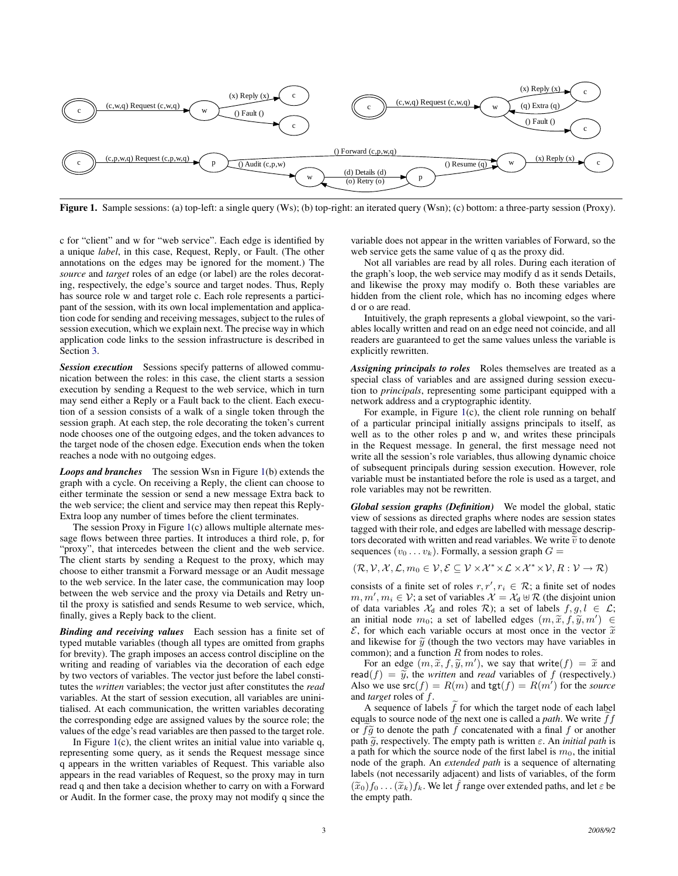

<span id="page-2-0"></span>Figure 1. Sample sessions: (a) top-left: a single query (Ws); (b) top-right: an iterated query (Wsn); (c) bottom: a three-party session (Proxy).

c for "client" and w for "web service". Each edge is identified by a unique *label*, in this case, Request, Reply, or Fault. (The other annotations on the edges may be ignored for the moment.) The *source* and *target* roles of an edge (or label) are the roles decorating, respectively, the edge's source and target nodes. Thus, Reply has source role w and target role c. Each role represents a participant of the session, with its own local implementation and application code for sending and receiving messages, subject to the rules of session execution, which we explain next. The precise way in which application code links to the session infrastructure is described in Section [3.](#page-3-0)

*Session execution* Sessions specify patterns of allowed communication between the roles: in this case, the client starts a session execution by sending a Request to the web service, which in turn may send either a Reply or a Fault back to the client. Each execution of a session consists of a walk of a single token through the session graph. At each step, the role decorating the token's current node chooses one of the outgoing edges, and the token advances to the target node of the chosen edge. Execution ends when the token reaches a node with no outgoing edges.

*Loops and branches* The session Wsn in Figure [1\(](#page-2-0)b) extends the graph with a cycle. On receiving a Reply, the client can choose to either terminate the session or send a new message Extra back to the web service; the client and service may then repeat this Reply-Extra loop any number of times before the client terminates.

The session Proxy in Figure [1\(](#page-2-0)c) allows multiple alternate message flows between three parties. It introduces a third role, p, for "proxy", that intercedes between the client and the web service. The client starts by sending a Request to the proxy, which may choose to either transmit a Forward message or an Audit message to the web service. In the later case, the communication may loop between the web service and the proxy via Details and Retry until the proxy is satisfied and sends Resume to web service, which, finally, gives a Reply back to the client.

*Binding and receiving values* Each session has a finite set of typed mutable variables (though all types are omitted from graphs for brevity). The graph imposes an access control discipline on the writing and reading of variables via the decoration of each edge by two vectors of variables. The vector just before the label constitutes the *written* variables; the vector just after constitutes the *read* variables. At the start of session execution, all variables are uninitialised. At each communication, the written variables decorating the corresponding edge are assigned values by the source role; the values of the edge's read variables are then passed to the target role.

In Figure  $1(c)$  $1(c)$ , the client writes an initial value into variable q, representing some query, as it sends the Request message since q appears in the written variables of Request. This variable also appears in the read variables of Request, so the proxy may in turn read q and then take a decision whether to carry on with a Forward or Audit. In the former case, the proxy may not modify q since the variable does not appear in the written variables of Forward, so the web service gets the same value of q as the proxy did.

Not all variables are read by all roles. During each iteration of the graph's loop, the web service may modify d as it sends Details, and likewise the proxy may modify o. Both these variables are hidden from the client role, which has no incoming edges where d or o are read.

Intuitively, the graph represents a global viewpoint, so the variables locally written and read on an edge need not coincide, and all readers are guaranteed to get the same values unless the variable is explicitly rewritten.

*Assigning principals to roles* Roles themselves are treated as a special class of variables and are assigned during session execution to *principals*, representing some participant equipped with a network address and a cryptographic identity.

For example, in Figure [1\(](#page-2-0)c), the client role running on behalf of a particular principal initially assigns principals to itself, as well as to the other roles p and w, and writes these principals in the Request message. In general, the first message need not write all the session's role variables, thus allowing dynamic choice of subsequent principals during session execution. However, role variable must be instantiated before the role is used as a target, and role variables may not be rewritten.

<span id="page-2-1"></span>*Global session graphs (Definition)* We model the global, static view of sessions as directed graphs where nodes are session states tagged with their role, and edges are labelled with message descriptors decorated with written and read variables. We write  $\tilde{v}$  to denote sequences  $(v_0 \dots v_k)$ . Formally, a session graph  $G =$ 

$$
(\mathcal{R}, \mathcal{V}, \mathcal{X}, \mathcal{L}, m_0 \in \mathcal{V}, \mathcal{E} \subseteq \mathcal{V} \times \mathcal{X}^* \times \mathcal{L} \times \mathcal{X}^* \times \mathcal{V}, R : \mathcal{V} \to \mathcal{R})
$$

consists of a finite set of roles  $r, r', r_i \in \mathcal{R}$ ; a finite set of nodes  $m, m', m_i \in \mathcal{V}$ ; a set of variables  $\mathcal{X} = \mathcal{X}_d \oplus \mathcal{R}$  (the disjoint union of data variables  $\mathcal{X}_d$  and roles  $\mathcal{R}$ ); a set of labels  $f, g, l \in \mathcal{L}$ ; an initial node  $m_0$ ; a set of labelled edges  $(m, \tilde{x}, f, \tilde{y}, m') \in$ <br>  $\mathcal{E}$  for which each variable occurs at most once in the vector  $\tilde{x}$  $\mathcal{E}$ , for which each variable occurs at most once in the vector  $\tilde{x}$ and likewise for  $\tilde{y}$  (though the two vectors may have variables in common); and a function  $R$  from nodes to roles.

For an edge  $(m, \tilde{x}, f, \tilde{y}, m')$ , we say that write(f) =  $\tilde{x}$  and  $d(f) = \tilde{y}$  the writeg and read variables of f (respectively) read( $f$ ) =  $\tilde{y}$ , the *written* and *read* variables of f (respectively.) Also we use  $\mathsf{src}(f) = R(m)$  and  $\mathsf{tgt}(f) = R(m')$  for the *source* and *target* roles of f.

A sequence of labels  $\tilde{f}$  for which the target node of each label equals to source node of the next one is called a *path*. We write  $ff$ or  $f\tilde{g}$  to denote the path f concatenated with a final f or another path  $\tilde{g}$ , respectively. The empty path is written  $\varepsilon$ . An *initial path* is a path for which the source node of the first label is  $m_0$ , the initial node of the graph. An *extended path* is a sequence of alternating labels (not necessarily adjacent) and lists of variables, of the form  $(\widetilde{x}_0)f_0 \ldots (\widetilde{x}_k)f_k$ . We let  $\hat{f}$  range over extended paths, and let  $\varepsilon$  be the empty path.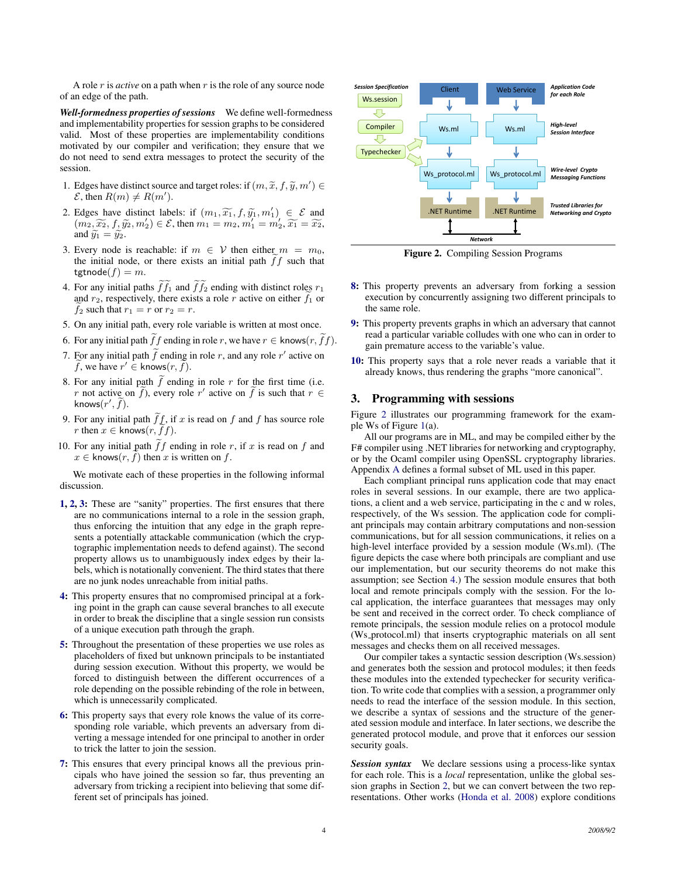A role r is *active* on a path when r is the role of any source node of an edge of the path.

*Well-formedness properties of sessions* We define well-formedness and implementability properties for session graphs to be considered valid. Most of these properties are implementability conditions motivated by our compiler and verification; they ensure that we do not need to send extra messages to protect the security of the session.

- <span id="page-3-1"></span>1. Edges have distinct source and target roles: if  $(m, \tilde{x}, f, \tilde{y}, m') \in$ <br>  $\mathcal{E}$  then  $B(m) \neq B(m')$  $\mathcal{E}$ , then  $R(m) \neq R(m')$ .
- <span id="page-3-2"></span>2. Edges have distinct labels: if  $(m_1, \widetilde{x_1}, f, \widetilde{y_1}, m_1') \in \mathcal{E}$  and  $(m_2, \widetilde{x_2}, f, \widetilde{y_2}, m_2') \in \mathcal{E}$  then  $m_1 = m_2, m_2' = m_2'$ ,  $\widetilde{x_1} = \widetilde{x_2}$  $(m_2, \widetilde{x_2}, f, \widetilde{y_2}, m'_2) \in \mathcal{E}$ , then  $m_1 = m_2, m'_1 = m'_2, \widetilde{x_1} = \widetilde{x_2}$ ,<br>and  $\widetilde{x_1} = \widetilde{x_2}$ and  $\widetilde{y_1} = \widetilde{y_2}$ .
- <span id="page-3-3"></span>3. Every node is reachable: if  $m \in V$  then either  $m = m_0$ , the initial node, or there exists an initial path  $\tilde{f}f$  such that tgtnode $(f) = m$ .
- <span id="page-3-4"></span>4. For any initial paths  $\widetilde{f}\widetilde{f}_1$  and  $\widetilde{f}\widetilde{f}_2$  ending with distinct roles  $r_1$ and  $r_2$ , respectively, there exists a role r active on either  $f_1$  or  $f_2$  such that  $r_1 = r$  or  $r_2 = r$ .
- <span id="page-3-5"></span>5. On any initial path, every role variable is written at most once.
- <span id="page-3-6"></span>6. For any initial path  $\tilde{f}f$  ending in role r, we have  $r \in$  knows $(r, \tilde{f}f)$ .
- <span id="page-3-7"></span>7. For any initial path  $\tilde{f}$  ending in role r, and any role r' active on  $\widetilde{f}$ , we have  $r' \in$  knows $(r, \widetilde{f})$ .
- <span id="page-3-8"></span>8. For any initial path  $\tilde{f}$  ending in role r for the first time (i.e. r not active on  $\widetilde{f}$ ), every role r' active on  $\widetilde{f}$  is such that  $r \in$ knows $(r', \tilde{f}).$
- <span id="page-3-9"></span>9. For any initial path  $\tilde{f}f$ , if x is read on f and f has source role r then  $x \in$  knows $(r, ff)$ .
- <span id="page-3-10"></span>10. For any initial path  $\hat{f}f$  ending in role r, if x is read on f and  $x \in$  knows $(r, f)$  then x is written on f.

We motivate each of these properties in the following informal discussion.

- [1,](#page-3-1) [2,](#page-3-2) [3:](#page-3-3) These are "sanity" properties. The first ensures that there are no communications internal to a role in the session graph, thus enforcing the intuition that any edge in the graph represents a potentially attackable communication (which the cryptographic implementation needs to defend against). The second property allows us to unambiguously index edges by their labels, which is notationally convenient. The third states that there are no junk nodes unreachable from initial paths.
- [4:](#page-3-4) This property ensures that no compromised principal at a forking point in the graph can cause several branches to all execute in order to break the discipline that a single session run consists of a unique execution path through the graph.
- [5:](#page-3-5) Throughout the presentation of these properties we use roles as placeholders of fixed but unknown principals to be instantiated during session execution. Without this property, we would be forced to distinguish between the different occurrences of a role depending on the possible rebinding of the role in between, which is unnecessarily complicated.
- [6:](#page-3-6) This property says that every role knows the value of its corresponding role variable, which prevents an adversary from diverting a message intended for one principal to another in order to trick the latter to join the session.
- [7:](#page-3-7) This ensures that every principal knows all the previous principals who have joined the session so far, thus preventing an adversary from tricking a recipient into believing that some different set of principals has joined.



<span id="page-3-11"></span>Figure 2. Compiling Session Programs

- [8:](#page-3-8) This property prevents an adversary from forking a session execution by concurrently assigning two different principals to the same role.
- [9:](#page-3-9) This property prevents graphs in which an adversary that cannot read a particular variable colludes with one who can in order to gain premature access to the variable's value.
- [10:](#page-3-10) This property says that a role never reads a variable that it already knows, thus rendering the graphs "more canonical".

# <span id="page-3-0"></span>3. Programming with sessions

Figure [2](#page-3-11) illustrates our programming framework for the example Ws of Figure [1\(](#page-2-0)a).

All our programs are in ML, and may be compiled either by the F# compiler using .NET libraries for networking and cryptography, or by the Ocaml compiler using OpenSSL cryptography libraries. Appendix [A](#page-14-18) defines a formal subset of ML used in this paper.

Each compliant principal runs application code that may enact roles in several sessions. In our example, there are two applications, a client and a web service, participating in the c and w roles, respectively, of the Ws session. The application code for compliant principals may contain arbitrary computations and non-session communications, but for all session communications, it relies on a high-level interface provided by a session module (Ws.ml). (The figure depicts the case where both principals are compliant and use our implementation, but our security theorems do not make this assumption; see Section [4.](#page-5-0)) The session module ensures that both local and remote principals comply with the session. For the local application, the interface guarantees that messages may only be sent and received in the correct order. To check compliance of remote principals, the session module relies on a protocol module (Ws protocol.ml) that inserts cryptographic materials on all sent messages and checks them on all received messages.

Our compiler takes a syntactic session description (Ws.session) and generates both the session and protocol modules; it then feeds these modules into the extended typechecker for security verification. To write code that complies with a session, a programmer only needs to read the interface of the session module. In this section, we describe a syntax of sessions and the structure of the generated session module and interface. In later sections, we describe the generated protocol module, and prove that it enforces our session security goals.

*Session syntax* We declare sessions using a process-like syntax for each role. This is a *local* representation, unlike the global session graphs in Section [2,](#page-1-0) but we can convert between the two representations. Other works [\(Honda et al.](#page-14-6) [2008\)](#page-14-6) explore conditions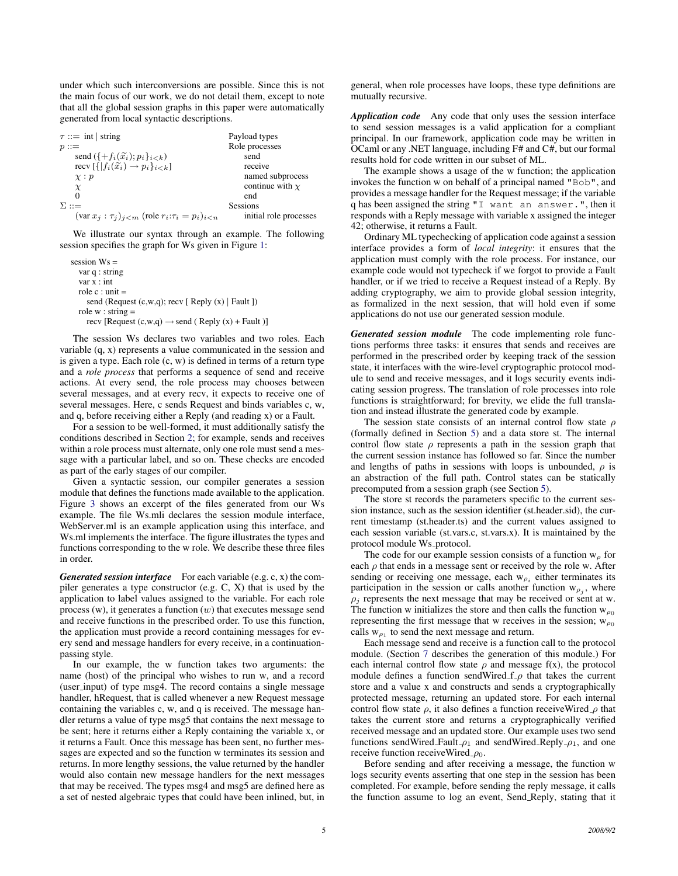under which such interconversions are possible. Since this is not the main focus of our work, we do not detail them, except to note that all the global session graphs in this paper were automatically generated from local syntactic descriptions.

 $\tau ::= \text{int} | \text{string}$  Payload types  $p ::=$  Role processes send  $({+f_i(\tilde{x}_i); p_i}_{i \le k})$  send<br>recv  $[{f_i(\tilde{x}_i) \rightarrow p_i}_{i \le k}]$  receive recv  $[\{ | f_i(\tilde{x_i}) \rightarrow p_i \}_{i \leq k}]$ <br> $\chi : p$ named subprocess  $\chi$  continue with  $\chi$  end 0 end  $\Sigma ::=$  Sessions  $(\text{var } x_j : \tau_j)_{i \leq m}$  (role  $r_i : \tau_i = p_i|_{i \leq n}$  initial role processes

We illustrate our syntax through an example. The following session specifies the graph for Ws given in Figure [1:](#page-2-0)

session Ws = var q : string var x : int role  $c :$  unit  $=$ send (Request  $(c, w, q)$ ; recv [ Reply  $(x)$  | Fault ]) role  $w :$  string  $=$ recv [Request  $(c, w, q) \rightarrow$  send (Reply  $(x)$  + Fault )]

The session Ws declares two variables and two roles. Each variable (q, x) represents a value communicated in the session and is given a type. Each role  $(c, w)$  is defined in terms of a return type and a *role process* that performs a sequence of send and receive actions. At every send, the role process may chooses between several messages, and at every recv, it expects to receive one of several messages. Here, c sends Request and binds variables c, w, and q, before receiving either a Reply (and reading x) or a Fault.

For a session to be well-formed, it must additionally satisfy the conditions described in Section [2;](#page-1-0) for example, sends and receives within a role process must alternate, only one role must send a message with a particular label, and so on. These checks are encoded as part of the early stages of our compiler.

Given a syntactic session, our compiler generates a session module that defines the functions made available to the application. Figure [3](#page-5-1) shows an excerpt of the files generated from our Ws example. The file Ws.mli declares the session module interface, WebServer.ml is an example application using this interface, and Ws.ml implements the interface. The figure illustrates the types and functions corresponding to the w role. We describe these three files in order.

*Generated session interface* For each variable (e.g. c, x) the compiler generates a type constructor (e.g. C, X) that is used by the application to label values assigned to the variable. For each role process  $(w)$ , it generates a function  $(w)$  that executes message send and receive functions in the prescribed order. To use this function, the application must provide a record containing messages for every send and message handlers for every receive, in a continuationpassing style.

In our example, the w function takes two arguments: the name (host) of the principal who wishes to run w, and a record (user input) of type msg4. The record contains a single message handler, hRequest, that is called whenever a new Request message containing the variables c, w, and q is received. The message handler returns a value of type msg5 that contains the next message to be sent; here it returns either a Reply containing the variable x, or it returns a Fault. Once this message has been sent, no further messages are expected and so the function w terminates its session and returns. In more lengthy sessions, the value returned by the handler would also contain new message handlers for the next messages that may be received. The types msg4 and msg5 are defined here as a set of nested algebraic types that could have been inlined, but, in

general, when role processes have loops, these type definitions are mutually recursive.

*Application code* Any code that only uses the session interface to send session messages is a valid application for a compliant principal. In our framework, application code may be written in OCaml or any .NET language, including F# and C#, but our formal results hold for code written in our subset of ML.

The example shows a usage of the w function; the application invokes the function w on behalf of a principal named "Bob", and provides a message handler for the Request message; if the variable q has been assigned the string "I want an answer.", then it responds with a Reply message with variable x assigned the integer 42; otherwise, it returns a Fault.

Ordinary ML typechecking of application code against a session interface provides a form of *local integrity*: it ensures that the application must comply with the role process. For instance, our example code would not typecheck if we forgot to provide a Fault handler, or if we tried to receive a Request instead of a Reply. By adding cryptography, we aim to provide global session integrity, as formalized in the next session, that will hold even if some applications do not use our generated session module.

*Generated session module* The code implementing role functions performs three tasks: it ensures that sends and receives are performed in the prescribed order by keeping track of the session state, it interfaces with the wire-level cryptographic protocol module to send and receive messages, and it logs security events indicating session progress. The translation of role processes into role functions is straightforward; for brevity, we elide the full translation and instead illustrate the generated code by example.

The session state consists of an internal control flow state  $\rho$ (formally defined in Section [5\)](#page-6-0) and a data store st. The internal control flow state  $\rho$  represents a path in the session graph that the current session instance has followed so far. Since the number and lengths of paths in sessions with loops is unbounded,  $\rho$  is an abstraction of the full path. Control states can be statically precomputed from a session graph (see Section [5\)](#page-6-0).

The store st records the parameters specific to the current session instance, such as the session identifier (st.header.sid), the current timestamp (st.header.ts) and the current values assigned to each session variable (st.vars.c, st.vars.x). It is maintained by the protocol module Ws protocol.

The code for our example session consists of a function  $w<sub>o</sub>$  for each  $\rho$  that ends in a message sent or received by the role w. After sending or receiving one message, each  $w_{\rho_i}$  either terminates its participation in the session or calls another function  $w_{\rho_j}$ , where  $\rho_j$  represents the next message that may be received or sent at w. The function w initializes the store and then calls the function  $w_{\rho_0}$ representing the first message that w receives in the session;  $w_{\rho_0}$ calls  $w_{\rho_1}$  to send the next message and return.

Each message send and receive is a function call to the protocol module. (Section [7](#page-7-0) describes the generation of this module.) For each internal control flow state  $\rho$  and message f(x), the protocol module defines a function sendWired  $f$ <sub>- $\rho$ </sub> that takes the current store and a value x and constructs and sends a cryptographically protected message, returning an updated store. For each internal control flow state  $\rho$ , it also defines a function receiveWired  $\rho$  that takes the current store and returns a cryptographically verified received message and an updated store. Our example uses two send functions sendWired\_Fault  $\rho_1$  and sendWired\_Reply  $\rho_1$ , and one receive function receiveWired  $\rho_0$ .

Before sending and after receiving a message, the function w logs security events asserting that one step in the session has been completed. For example, before sending the reply message, it calls the function assume to log an event, Send Reply, stating that it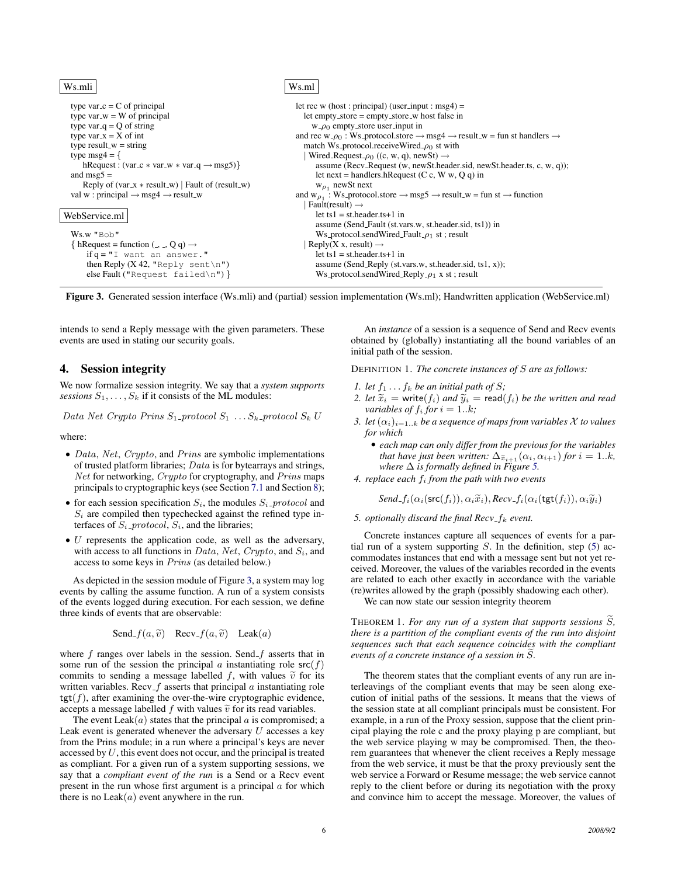Ws.mli type var  $c = C$  of principal type var $-w = W$  of principal type var  $q = Q$  of string type var  $x = X$  of int type result\_w = string type  $msg4 = \{$ hRequest : (var\_c  $*$  var\_w  $*$  var\_q  $\rightarrow$  msg5)} and  $msg5 =$ Reply of  $(var_x * result_w)$  | Fault of  $(result_w)$ val w : principal  $\rightarrow$  msg4  $\rightarrow$  result\_w WebService.ml Ws.w "Bob" { hRequest = function  $($ , , Q q)  $\rightarrow$  $if q = "I$  want an answer." then Reply  $(X 42, "Reply sent \n"$ else Fault ("Request failed\n") } Ws.ml let rec w (host : principal) (user\_input : msg4) = let empty\_store = empty\_store\_w host false in  $w_{\text{-}}\rho_0$  empty store user input in and rec w\_ $\rho_0$ : Ws\_protocol.store  $\rightarrow$  msg4  $\rightarrow$  result\_w = fun st handlers  $\rightarrow$ match Ws\_protocol.receiveWired $\varphi_0$  st with | Wired\_Request\_ $\rho_0$  ((c, w, q), newSt) – assume (Recv\_Request (w, newSt.header.sid, newSt.header.ts, c, w, q)); let next = handlers.hRequest (C c, W w, Q q) in  $w_{\rho_1}$  newSt next and  $w_{\rho_1}$ : Ws\_protocol.store  $\rightarrow$  msg5  $\rightarrow$  result\_w = fun st  $\rightarrow$  function  $|$  Fault(result)  $\rightarrow$  $let$  ts $1 = st.header.ts + 1$  in assume (Send Fault (st.vars.w, st.header.sid, ts1)) in Ws\_protocol.sendWired\_Fault\_ $\rho_1$  st; result | Reply(X x, result)  $$ let ts1 = st.header.ts+1 in assume (Send\_Reply (st.vars.w, st.header.sid, ts1, x)); Ws\_protocol.sendWired\_Reply\_ $\rho_1$  x st; result

<span id="page-5-1"></span>Figure 3. Generated session interface (Ws.mli) and (partial) session implementation (Ws.ml); Handwritten application (WebService.ml)

intends to send a Reply message with the given parameters. These events are used in stating our security goals.

# <span id="page-5-0"></span>4. Session integrity

We now formalize session integrity. We say that a *system supports sessions*  $S_1, \ldots, S_k$  if it consists of the ML modules:

Data Net Crypto Prins  $S_1$ -protocol  $S_1$ ... $S_k$ -protocol  $S_k$  U

where:

- Data, Net, Crypto, and Prins are symbolic implementations of trusted platform libraries; Data is for bytearrays and strings, Net for networking, Crypto for cryptography, and Prins maps principals to cryptographic keys (see Section [7.1](#page-7-1) and Section [8\)](#page-9-0);
- for each session specification  $S_i$ , the modules  $S_i$ -protocol and  $S_i$  are compiled then typechecked against the refined type interfaces of  $S_i$ -protocol,  $S_i$ , and the libraries;
- $\bullet$  U represents the application code, as well as the adversary, with access to all functions in Data, Net, Crypto, and  $S_i$ , and access to some keys in Prins (as detailed below.)

As depicted in the session module of Figure [3,](#page-5-1) a system may log events by calling the assume function. A run of a system consists of the events logged during execution. For each session, we define three kinds of events that are observable:

Send<sub>-</sub>
$$
f(a, \tilde{v})
$$
 Rev<sub>-</sub> $f(a, \tilde{v})$  Leak $(a)$ 

where  $f$  ranges over labels in the session. Send  $f$  asserts that in some run of the session the principal a instantiating role  $src(f)$ commits to sending a message labelled f, with values  $\tilde{v}$  for its written variables. Recv<sub>- $f$ </sub> asserts that principal  $a$  instantiating role  $tgt(f)$ , after examining the over-the-wire cryptographic evidence, accepts a message labelled f with values  $\tilde{v}$  for its read variables.

The event Leak $(a)$  states that the principal  $a$  is compromised; a Leak event is generated whenever the adversary  $U$  accesses a key from the Prins module; in a run where a principal's keys are never accessed by  $U$ , this event does not occur, and the principal is treated as compliant. For a given run of a system supporting sessions, we say that a *compliant event of the run* is a Send or a Recv event present in the run whose first argument is a principal  $\alpha$  for which there is no  $Leak(a)$  event anywhere in the run.

<span id="page-5-4"></span>An *instance* of a session is a sequence of Send and Recv events obtained by (globally) instantiating all the bound variables of an initial path of the session.

DEFINITION 1. *The concrete instances of* S *are as follows:*

- *1. let*  $f_1 \ldots f_k$  *be an initial path of S*;
- *2. let*  $\tilde{x}_i$  = write( $f_i$ ) *and*  $\tilde{y}_i$  = read( $f_i$ ) *be the written and read variables of*  $f_i$  *for*  $i = 1..k$ ;
- *3. let*  $(\alpha_i)_{i=1..k}$  *be a sequence of maps from variables X to values for which*
	- *each map can only differ from the previous for the variables that have just been written:*  $\Delta_{\tilde{x}_{i+1}}(\alpha_i, \alpha_{i+1})$  *for*  $i = 1..k$ *, where* ∆ *is formally defined in Figure [5.](#page-10-0)*
- *4. replace each* f<sup>i</sup> *from the path with two events*

$$
Send\_f_i(\alpha_i(\mathsf{src}(f_i)), \alpha_i \widetilde{x}_i), Rev\_f_i(\alpha_i(\mathsf{tgt}(f_i)), \alpha_i \widetilde{y}_i)
$$

<span id="page-5-2"></span>*5. optionally discard the final*  $Recv_f_k$  *event.* 

Concrete instances capture all sequences of events for a partial run of a system supporting  $S$ . In the definition, step  $(5)$  accommodates instances that end with a message sent but not yet received. Moreover, the values of the variables recorded in the events are related to each other exactly in accordance with the variable (re)writes allowed by the graph (possibly shadowing each other).

We can now state our session integrity theorem

<span id="page-5-3"></span>THEOREM 1. For any run of a system that supports sessions S, *there is a partition of the compliant events of the run into disjoint sequences such that each sequence coincides with the compliant events of a concrete instance of a session in* S.

The theorem states that the compliant events of any run are interleavings of the compliant events that may be seen along execution of initial paths of the sessions. It means that the views of the session state at all compliant principals must be consistent. For example, in a run of the Proxy session, suppose that the client principal playing the role c and the proxy playing p are compliant, but the web service playing w may be compromised. Then, the theorem guarantees that whenever the client receives a Reply message from the web service, it must be that the proxy previously sent the web service a Forward or Resume message; the web service cannot reply to the client before or during its negotiation with the proxy and convince him to accept the message. Moreover, the values of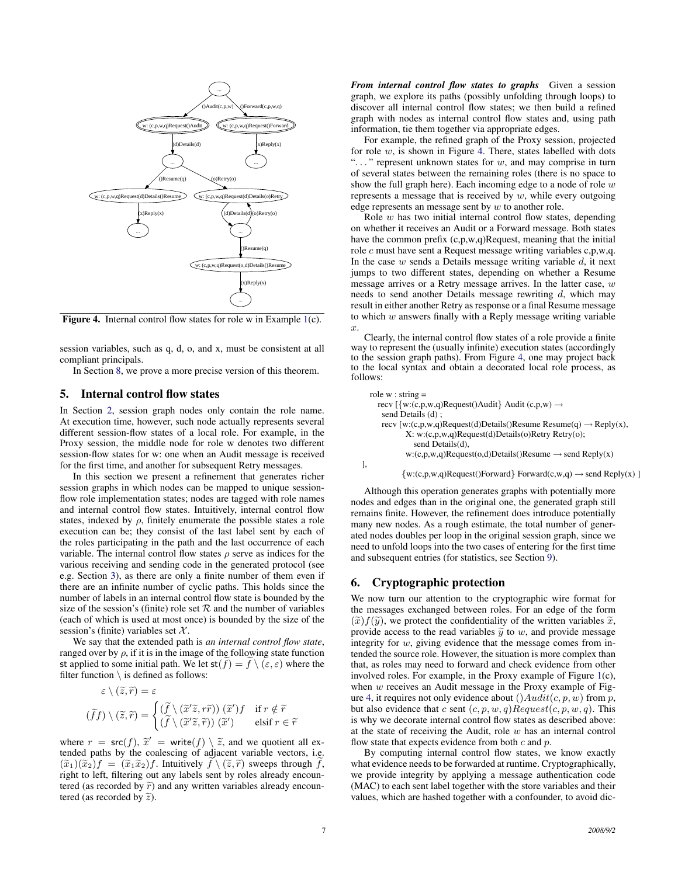

<span id="page-6-2"></span>Figure 4. Internal control flow states for role w in Example [1\(](#page-2-0)c).

session variables, such as q, d, o, and x, must be consistent at all compliant principals.

In Section [8,](#page-9-0) we prove a more precise version of this theorem.

## <span id="page-6-0"></span>5. Internal control flow states

In Section [2,](#page-1-0) session graph nodes only contain the role name. At execution time, however, such node actually represents several different session-flow states of a local role. For example, in the Proxy session, the middle node for role w denotes two different session-flow states for w: one when an Audit message is received for the first time, and another for subsequent Retry messages.

In this section we present a refinement that generates richer session graphs in which nodes can be mapped to unique sessionflow role implementation states; nodes are tagged with role names and internal control flow states. Intuitively, internal control flow states, indexed by  $\rho$ , finitely enumerate the possible states a role execution can be; they consist of the last label sent by each of the roles participating in the path and the last occurrence of each variable. The internal control flow states  $\rho$  serve as indices for the various receiving and sending code in the generated protocol (see e.g. Section [3\)](#page-3-0), as there are only a finite number of them even if there are an infinite number of cyclic paths. This holds since the number of labels in an internal control flow state is bounded by the size of the session's (finite) role set  $R$  and the number of variables (each of which is used at most once) is bounded by the size of the session's (finite) variables set  $X$ .

We say that the extended path is *an internal control flow state*, ranged over by  $\rho$ , if it is in the image of the following state function st applied to some initial path. We let  $st(f) = f \setminus (\varepsilon, \varepsilon)$  where the filter function  $\setminus$  is defined as follows:

$$
\varepsilon \setminus (\widetilde{z}, \widetilde{r}) = \varepsilon
$$

$$
(\widetilde{f}f) \setminus (\widetilde{z}, \widetilde{r}) = \begin{cases} (\widetilde{f} \setminus (\widetilde{x}'\widetilde{z}, r\widetilde{r})) \ (\widetilde{x}')f & \text{if } r \notin \widetilde{r} \\ (\widetilde{f} \setminus (\widetilde{x}'\widetilde{z}, \widetilde{r})) \ (\widetilde{x}') & \text{elseif } r \in \widetilde{r} \end{cases}
$$

where  $r = \mathsf{src}(f)$ ,  $\tilde{x}' = \text{write}(f) \setminus \tilde{z}$ , and we quotient all ex-<br>tended paths by the coalescing of adjacent variable vectors i.e. tended paths by the coalescing of adjacent variable vectors, i.e.  $(\widetilde{x}_1)(\widetilde{x}_2)f = (\widetilde{x}_1\widetilde{x}_2)f$ . Intuitively  $f \setminus (\widetilde{z}, \widetilde{r})$  sweeps through f, right to left, filtering out any labels sent by roles already encountered (as recorded by  $\tilde{r}$ ) and any written variables already encountered (as recorded by  $\tilde{z}$ ).

*From internal control flow states to graphs* Given a session graph, we explore its paths (possibly unfolding through loops) to discover all internal control flow states; we then build a refined graph with nodes as internal control flow states and, using path information, tie them together via appropriate edges.

For example, the refined graph of the Proxy session, projected for role  $w$ , is shown in Figure [4.](#page-6-2) There, states labelled with dots " $\dots$ " represent unknown states for  $w$ , and may comprise in turn of several states between the remaining roles (there is no space to show the full graph here). Each incoming edge to a node of role  $w$ represents a message that is received by  $w$ , while every outgoing edge represents an message sent by  $w$  to another role.

Role  $w$  has two initial internal control flow states, depending on whether it receives an Audit or a Forward message. Both states have the common prefix  $(c, p, w, q)$ Request, meaning that the initial role c must have sent a Request message writing variables c,p,w,q. In the case  $w$  sends a Details message writing variable  $d$ , it next jumps to two different states, depending on whether a Resume message arrives or a Retry message arrives. In the latter case,  $w$ needs to send another Details message rewriting  $d$ , which may result in either another Retry as response or a final Resume message to which  $w$  answers finally with a Reply message writing variable  $\mathcal{X}$ .

Clearly, the internal control flow states of a role provide a finite way to represent the (usually infinite) execution states (accordingly to the session graph paths). From Figure [4,](#page-6-2) one may project back to the local syntax and obtain a decorated local role process, as follows:

role  $w :$  string  $=$ recv  $\{\{w:(c,p,w,q)$ Request()Audit $\}$  Audit  $(c,p,w) \rightarrow$ send Details (d) ; recv  $[w:(c,p,w,q)$ Request(d)Details()Resume Resume(q)  $\rightarrow$  Reply(x), X: w:(c,p,w,q)Request(d)Details(o)Retry Retry(o); send Details(d),  $w:(c,p,w,q)$ Request(o,d)Details()Resume  $\rightarrow$  send Reply(x) ],

 $\{w:(c,p,w,q)$ Request()Forward $\}$  Forward(c,w,q)  $\rightarrow$  send Reply(x) ]

Although this operation generates graphs with potentially more nodes and edges than in the original one, the generated graph still remains finite. However, the refinement does introduce potentially many new nodes. As a rough estimate, the total number of generated nodes doubles per loop in the original session graph, since we need to unfold loops into the two cases of entering for the first time and subsequent entries (for statistics, see Section [9\)](#page-13-0).

## <span id="page-6-1"></span>6. Cryptographic protection

We now turn our attention to the cryptographic wire format for the messages exchanged between roles. For an edge of the form  $(\widetilde{x})f(\widetilde{y})$ , we protect the confidentiality of the written variables  $\widetilde{x}$ , provide access to the read variables  $\tilde{y}$  to w, and provide message integrity for w, giving evidence that the message comes from intended the source role. However, the situation is more complex than that, as roles may need to forward and check evidence from other involved roles. For example, in the Proxy example of Figure [1\(](#page-2-0)c), when  $w$  receives an Audit message in the Proxy example of Fig-ure [4,](#page-6-2) it requires not only evidence about  $(Audit(c, p, w)$  from p, but also evidence that c sent  $(c, p, w, q)$ Request $(c, p, w, q)$ . This is why we decorate internal control flow states as described above: at the state of receiving the Audit, role w has an internal control flow state that expects evidence from both  $c$  and  $p$ .

By computing internal control flow states, we know exactly what evidence needs to be forwarded at runtime. Cryptographically, we provide integrity by applying a message authentication code (MAC) to each sent label together with the store variables and their values, which are hashed together with a confounder, to avoid dic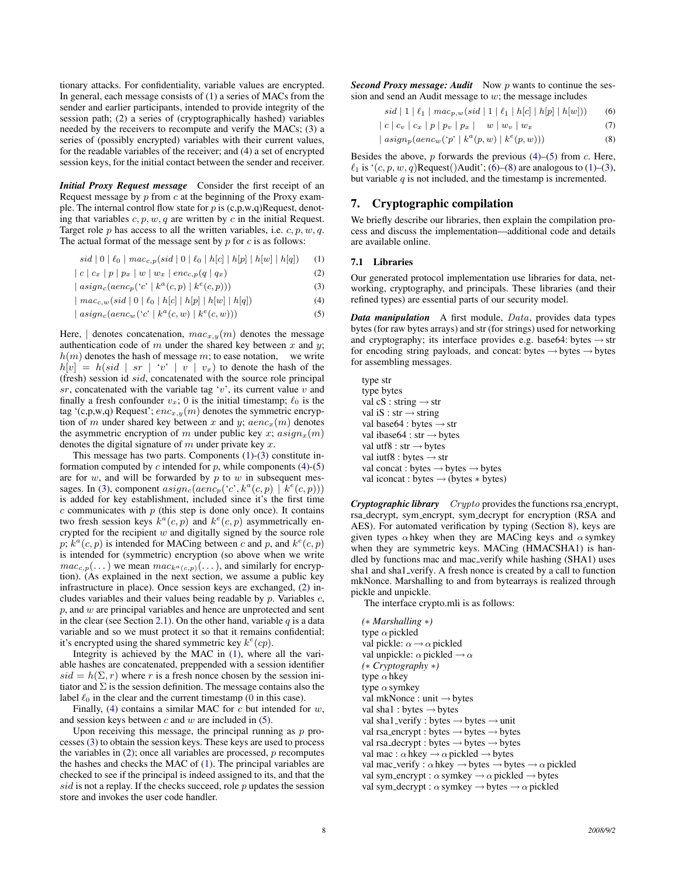tionary attacks. For confidentiality, variable values are encrypted. In general, each message consists of (1) a series of MACs from the sender and earlier participants, intended to provide integrity of the session path; (2) a series of (cryptographically hashed) variables needed by the receivers to recompute and verify the MACs; (3) a series of (possibly encrypted) variables with their current values, for the readable variables of the receiver; and (4) a set of encrypted session keys, for the initial contact between the sender and receiver.

*Initial Proxy Request message* Consider the first receipt of an Request message by  $p$  from  $c$  at the beginning of the Proxy example. The internal control flow state for  $p$  is  $(c, p, w, q)$ Request, denoting that variables  $c, p, w, q$  are written by c in the initial Request. Target role  $p$  has access to all the written variables, i.e.  $c, p, w, q$ . The actual format of the message sent by  $p$  for  $c$  is as follows:

$$
sid | 0 | \ell_0 | mac_{c,p}(sid | 0 | \ell_0 | h[c] | h[p] | h[w] | h[q]) \quad (1)
$$

$$
|c|c_x | p | p_x | w | w_x | enc_{c,p}(q | q_x)
$$
 (2)

$$
| \operatorname{asign}_c(\operatorname{aenc}_p(^{c'} | k^a(c, p) | k^e(c, p))) \tag{3}
$$

 $\mid mac_{c,w}(sid \mid 0 \mid \ell_0 \mid h[c] \mid h[p] \mid h[w] \mid h[q])$  (4)

$$
| \operatorname{asign}_c(\operatorname{aenc}_w(\text{`c'} \mid k^a(c, w) \mid k^e(c, w))) \tag{5}
$$

Here,  $\vert$  denotes concatenation,  $mac_{x,y}(m)$  denotes the message authentication code of m under the shared key between x and y;  $h(m)$  denotes the hash of message m; to ease notation, we write  $h[v] = h(sid \mid sr \mid 'v' \mid v \mid v_x)$  to denote the hash of the (fresh) session id sid, concatenated with the source role principal  $sr$ , concatenated with the variable tag 'v', its current value  $v$  and finally a fresh confounder  $v_x$ ; 0 is the initial timestamp;  $\ell_0$  is the tag '(c,p,w,q) Request';  $enc_{x,y}(m)$  denotes the symmetric encryption of m under shared key between x and y;  $aenc_x(m)$  denotes the asymmetric encryption of m under public key x;  $\alpha sign_x(m)$ denotes the digital signature of  $m$  under private key  $x$ .

This message has two parts. Components [\(1\)](#page-7-2)-[\(3\)](#page-7-3) constitute information computed by  $c$  intended for  $p$ , while components [\(4\)](#page-7-4)-[\(5\)](#page-7-5) are for  $w$ , and will be forwarded by  $p$  to  $w$  in subsequent mes-sages. In [\(3\)](#page-7-3), component  $\operatorname{asign}_c(\operatorname{aenc}_p(^{c}c^{c}, k^a(c, p) \mid k^e(c, p)))$ is added for key establishment, included since it's the first time  $c$  communicates with  $p$  (this step is done only once). It contains two fresh session keys  $k^a(c, p)$  and  $k^e(c, p)$  asymmetrically encrypted for the recipient  $w$  and digitally signed by the source role p;  $\hat{k}^a(c, p)$  is intended for MACing between c and p, and  $k^e(c, p)$ is intended for (symmetric) encryption (so above when we write  $mac_{c,p}(\dots)$  we mean  $mac_{k^a(c,p)}(\dots)$ , and similarly for encryption). (As explained in the next section, we assume a public key infrastructure in place). Once session keys are exchanged, [\(2\)](#page-7-6) includes variables and their values being readable by  $p$ . Variables  $c$ ,  $p$ , and  $w$  are principal variables and hence are unprotected and sent in the clear (see Section [2.1\)](#page-2-1). On the other hand, variable  $q$  is a data variable and so we must protect it so that it remains confidential; it's encrypted using the shared symmetric key  $k^e$ (*cp*).

Integrity is achieved by the MAC in [\(1\)](#page-7-2), where all the variable hashes are concatenated, preppended with a session identifier  $sid = h(\Sigma, r)$  where r is a fresh nonce chosen by the session initiator and  $\Sigma$  is the session definition. The message contains also the label  $\ell_0$  in the clear and the current timestamp (0 in this case).

Finally, [\(4\)](#page-7-4) contains a similar MAC for  $c$  but intended for  $w$ , and session keys between  $c$  and  $w$  are included in [\(5\)](#page-7-5).

Upon receiving this message, the principal running as  $p$  processes [\(3\)](#page-7-3) to obtain the session keys. These keys are used to process the variables in  $(2)$ ; once all variables are processed,  $p$  recomputes the hashes and checks the MAC of [\(1\)](#page-7-2). The principal variables are checked to see if the principal is indeed assigned to its, and that the  $sid$  is not a replay. If the checks succeed, role  $p$  updates the session store and invokes the user code handler.

*Second Proxy message: Audit* Now p wants to continue the session and send an Audit message to  $w$ ; the message includes

<span id="page-7-8"></span><span id="page-7-7"></span>
$$
sid \mid 1 \mid \ell_1 \mid mac_{p,w}(sid \mid 1 \mid \ell_1 \mid h[c] \mid h[p] \mid h[w])) \tag{6}
$$

$$
|c|c_v|c_x|p|p_v|p_x|w|w_v|w_x \qquad (7)
$$

$$
| \operatorname{asign}_p(\operatorname{aenc}_w(\lq p \rvert k^a(p, w) \rvert k^e(p, w))) \tag{8}
$$

Besides the above,  $p$  forwards the previous  $(4)$ – $(5)$  from  $c$ . Here,  $\ell_1$  is ' $(c, p, w, q)$ Request()Audit'; [\(6\)](#page-7-7)–[\(8\)](#page-7-8) are analogous to [\(1\)](#page-7-2)–[\(3\)](#page-7-3), but variable  $q$  is not included, and the timestamp is incremented.

# <span id="page-7-0"></span>7. Cryptographic compilation

We briefly describe our libraries, then explain the compilation process and discuss the implementation—additional code and details are available online.

#### <span id="page-7-6"></span><span id="page-7-2"></span><span id="page-7-1"></span>7.1 Libraries

<span id="page-7-4"></span><span id="page-7-3"></span>Our generated protocol implementation use libraries for data, networking, cryptography, and principals. These libraries (and their refined types) are essential parts of our security model.

<span id="page-7-5"></span>*Data manipulation* A first module, Data, provides data types bytes (for raw bytes arrays) and str (for strings) used for networking and cryptography; its interface provides e.g. base64: bytes  $\rightarrow$  str for encoding string payloads, and concat: bytes  $\rightarrow$  bytes  $\rightarrow$  bytes for assembling messages.

type str type bytes val cS : string  $\rightarrow$  str val iS : str  $\rightarrow$  string val base64 : bytes  $\rightarrow$  str val ibase64 : str  $\rightarrow$  bytes val utf8 : str  $\rightarrow$  bytes val iutf8 : bytes  $\rightarrow$  str val concat : bytes  $\rightarrow$  bytes  $\rightarrow$  bytes val iconcat : bytes → (bytes ∗ bytes)

*Cryptographic library* Crypto provides the functions rsa encrypt, rsa decrypt, sym encrypt, sym decrypt for encryption (RSA and AES). For automated verification by typing (Section [8\)](#page-9-0), keys are given types  $\alpha$  hkey when they are MACing keys and  $\alpha$  symkey when they are symmetric keys. MACing (HMACSHA1) is handled by functions mac and mac verify while hashing (SHA1) uses sha1 and sha1 verify. A fresh nonce is created by a call to function mkNonce. Marshalling to and from bytearrays is realized through pickle and unpickle.

The interface crypto.mli is as follows:

*(*∗ *Marshalling* ∗*)* type  $\alpha$  pickled val pickle:  $\alpha \rightarrow \alpha$  pickled val unpickle:  $\alpha$  pickled  $\rightarrow \alpha$ *(*∗ *Cryptography* ∗*)* type  $\alpha$  hkey type  $\alpha$  symkey val mkNonce : unit → bytes val sha1 : bytes  $\rightarrow$  bytes val sha1\_verify : bytes  $\rightarrow$  bytes  $\rightarrow$  unit val rsa encrypt : bytes  $\rightarrow$  bytes  $\rightarrow$  bytes val rsa\_decrypt : bytes  $\rightarrow$  bytes  $\rightarrow$  bytes val mac :  $\alpha$  hkey  $\rightarrow \alpha$  pickled  $\rightarrow$  bytes val mac\_verify :  $\alpha$  hkey  $\rightarrow$  bytes  $\rightarrow$  bytes  $\rightarrow \alpha$  pickled val sym\_encrypt :  $\alpha$  symkey  $\rightarrow \alpha$  pickled  $\rightarrow$  bytes val sym\_decrypt :  $\alpha$  symkey  $\rightarrow$  bytes  $\rightarrow \alpha$  pickled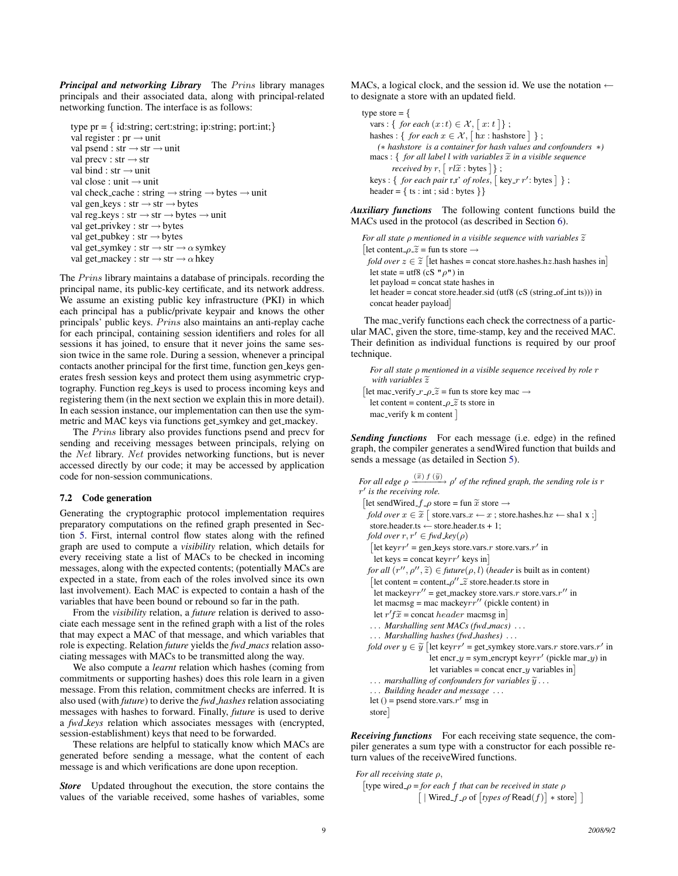*Principal and networking Library* The Prins library manages principals and their associated data, along with principal-related networking function. The interface is as follows:

```
type pr = \{ id:string; cert:string; ip:string; port:int;\}val register : pr \rightarrow unitval psend : str \rightarrow str \rightarrow unit
val precv : str \rightarrow strval bind : str → unit
val close : unit → unit
val check_cache : string \rightarrow string \rightarrow bytes \rightarrow unit
val gen_keys : str \rightarrow str \rightarrow bytes
val reg_keys : str \rightarrow str \rightarrow bytes \rightarrow unit
val get_privkey : str \rightarrow bytesval get_pubkey : str \rightarrow bytesval get_symkey : str \rightarrow str \rightarrow \alpha symkey
val get_mackey : str \rightarrow str \rightarrow \alpha hkey
```
The Prins library maintains a database of principals. recording the principal name, its public-key certificate, and its network address. We assume an existing public key infrastructure (PKI) in which each principal has a public/private keypair and knows the other principals' public keys. Prins also maintains an anti-replay cache for each principal, containing session identifiers and roles for all sessions it has joined, to ensure that it never joins the same session twice in the same role. During a session, whenever a principal contacts another principal for the first time, function gen keys generates fresh session keys and protect them using asymmetric cryptography. Function reg keys is used to process incoming keys and registering them (in the next section we explain this in more detail). In each session instance, our implementation can then use the symmetric and MAC keys via functions get\_symkey and get\_mackey.

The Prins library also provides functions psend and precv for sending and receiving messages between principals, relying on the Net library. Net provides networking functions, but is never accessed directly by our code; it may be accessed by application code for non-session communications.

#### 7.2 Code generation

Generating the cryptographic protocol implementation requires preparatory computations on the refined graph presented in Section [5.](#page-6-0) First, internal control flow states along with the refined graph are used to compute a *visibility* relation, which details for every receiving state a list of MACs to be checked in incoming messages, along with the expected contents; (potentially MACs are expected in a state, from each of the roles involved since its own last involvement). Each MAC is expected to contain a hash of the variables that have been bound or rebound so far in the path.

From the *visibility* relation, a *future* relation is derived to associate each message sent in the refined graph with a list of the roles that may expect a MAC of that message, and which variables that role is expecting. Relation *future* yields the *fwd macs* relation associating messages with MACs to be transmitted along the way.

We also compute a *learnt* relation which hashes (coming from commitments or supporting hashes) does this role learn in a given message. From this relation, commitment checks are inferred. It is also used (with *future*) to derive the *fwd hashes* relation associating messages with hashes to forward. Finally, *future* is used to derive a *fwd keys* relation which associates messages with (encrypted, session-establishment) keys that need to be forwarded.

These relations are helpful to statically know which MACs are generated before sending a message, what the content of each message is and which verifications are done upon reception.

*Store* Updated throughout the execution, the store contains the values of the variable received, some hashes of variables, some MACs, a logical clock, and the session id. We use the notation  $\leftarrow$ to designate a store with an updated field.

```
type store = {
   vars : { for each (x:t) \in \mathcal{X}, [x:t] ;
   hashes : { for each x \in \mathcal{X}, \lceil \ln x \rceil: hashstore \rceil };
     (∗ hashstore is a container for hash values and confounders ∗)
   macs: \{ for all label <math>l</math> with variables <math>\tilde{x}</math> in a visible sequencereceived by r, [rl\tilde{x} : bytes] ;
   keys: \{ for each pair r, r' of roles, \lfloor key\_r r' : bytes \rfloor \};
  header = \{ ts : int ; sid : bytes \}
```
*Auxiliary functions* The following content functions build the MACs used in the protocol (as described in Section [6\)](#page-6-1).

```
For all state ρ mentioned in a visible sequence with variables \tilde{z}[let content \rho \tilde{z} = \text{fun} ts store \rightarrowfold over z \in \tilde{z} [let hashes = concat store.hashes.hz.hash hashes in]<br>let state = utf<sup>o</sup> (cS, ll, cll) in
  let state = utf8 (cS " \rho") in
   let payload = concat state hashes in
   let header = concat store.header.sid (utf8 (cS (string_of_int ts))) in
   concat header payload
```
The mac verify functions each check the correctness of a particular MAC, given the store, time-stamp, key and the received MAC. Their definition as individual functions is required by our proof technique.

```
For all state ρ mentioned in a visible sequence received by role r
   with variables \widetilde{z}[let mac_verify_r_\rho \widetilde{z} = fun ts store key mac \rightarrow<br>let content = content e \widetilde{z} ts store in
   let content = content \rho \tilde{z} ts store in
   mac\_verify \, k \, m \, content \,
```
*Sending functions* For each message (i.e. edge) in the refined graph, the compiler generates a sendWired function that builds and sends a message (as detailed in Section [5\)](#page-6-0).

```
For all edge \rho \xrightarrow{(\widetilde{x}) f(\widetilde{y})} \rho' of the refined graph, the sending role is r
r
0
is the receiving role.
 [let sendWired_f_{-\rho} store = fun \tilde{x} store \rightarrowfold over x \in \tilde{x} [ store.vars.x \leftarrow x; store.hashes.hx \leftarrow \text{sha} 1 x ; ]
   store.header.ts ← store.header.ts + 1;<br>fold over r, r' \in \text{fwd\_key}(\rho)[let keyrr' = gen_keys store.vars.r store.vars.r' in
    let keys = concat keyrr' keys in
   for all (r'', \rho'', \tilde{z}) \in future(\rho, l) (header is built as in content)
    [let content = content -\rho'' - \tilde{z} store.header.ts store in
     let mackeyrr'' = get_mackey store.vars.r store.vars.r'' in
    let macmsg = mac mackeyrr'' (pickle content) in
     let r' f\tilde{x} = concat header macmsg in]<br>Marshalling sont MACs (for mass)
   . . . Marshalling sent MACs (fwd macs) . . .
   . . . Marshalling hashes (fwd hashes) . . .
   fold over y \in \tilde{y} [let keyrr' = get symkey store.vars.r store.vars.r' in
                          let encr<sub>-y</sub> = sym_encrypt keyrr' (pickle mar<sub>-y</sub>) in
                         let variables = concat encr<sub>-y</sub> variables in\vert\ldots marshalling of confounders for variables \widetilde{\mathbf{y}}...
    . . . Building header and message . . .
    let () = psend store.vars.r' msg in
   store
```
*Receiving functions* For each receiving state sequence, the compiler generates a sum type with a constructor for each possible return values of the receiveWired functions.

```
For all receiving state ρ,
   ˆ
type wired ρ = for each f that can be received in state ρ
                               \left[ \begin{array}{cc} | \text{Wired-}f-\rho \text{ of } \left[\text{types of }\mathsf{Read}(f) \right] * \text{store} \end{array} \right]
```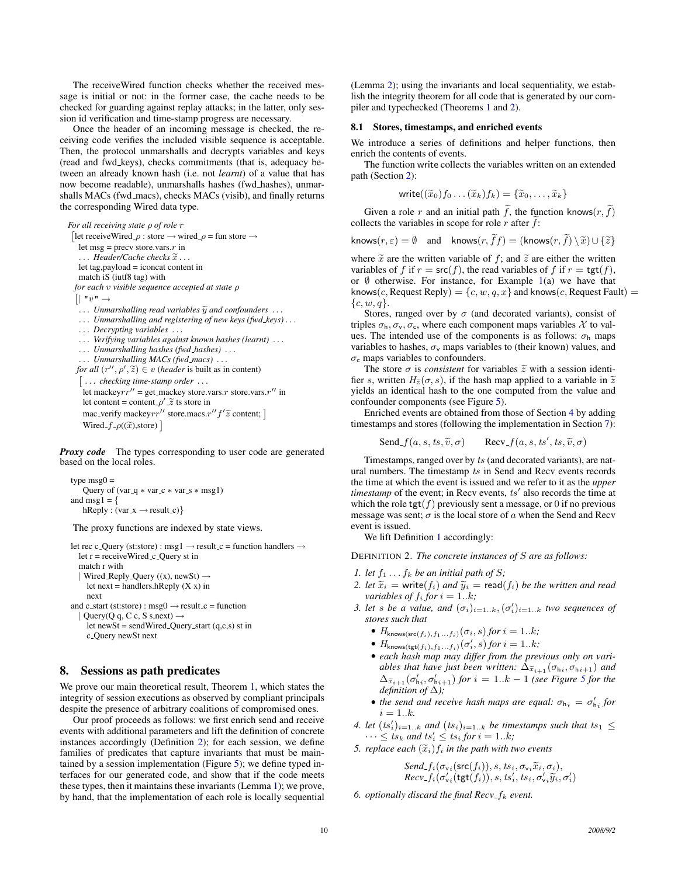The receiveWired function checks whether the received message is initial or not: in the former case, the cache needs to be checked for guarding against replay attacks; in the latter, only session id verification and time-stamp progress are necessary.

Once the header of an incoming message is checked, the receiving code verifies the included visible sequence is acceptable. Then, the protocol unmarshalls and decrypts variables and keys (read and fwd keys), checks commitments (that is, adequacy between an already known hash (i.e. not *learnt*) of a value that has now become readable), unmarshalls hashes (fwd hashes), unmarshalls MACs (fwd\_macs), checks MACs (visib), and finally returns the corresponding Wired data type.

```
For all receiving state ρ of role r
 [let receiveWired_\rho : store \rightarrow wired_\rho = fun store \rightarrowlet msg = precv store.vars.r in
   ... Header/Cache checks \widetilde{x}...
   let tag,payload = iconcat content in
   match iS (iutf8 tag) with
  for each v visible sequence accepted at state ρ
  \lceil \mid "v" \rightarrow... Unmarshalling read variables \widetilde{y} and confounders ...
   . . . Unmarshalling and registering of new keys (fwd keys) . . .
   . . . Decrypting variables . . .
   . . . Verifying variables against known hashes (learnt) . . .
   . . . Unmarshalling hashes (fwd hashes) . . .
    . . . Unmarshalling MACs (fwd macs) . . .
   for all (r'', \rho', \tilde{z}) \in v (header is built as in content)
    ˆ
. . . checking time-stamp order . . .
     let mackeyrr'' = get_mackey store.vars.r store.vars.r'' in
     let content = content \rho' \tilde{z} ts store in
     mac_verify mackeyrr'' store.macs.r'' f' \tilde{z} content; \left[\frac{W}{r}\right]Wired_f_\rho(\widetilde{x}),store) \vert
```
*Proxy code* The types corresponding to user code are generated based on the local roles.

```
type \text{msg0} =Query of (var<sub>-q</sub> * var<sub>-c</sub> * var<sub>-s</sub> * msg1)
and msg1 = \frac{1}{2}hReply : (var_x \rightarrow result_c)}
```
The proxy functions are indexed by state views.

```
let rec c Query (st:store) : msg1 \rightarrow result c = function handlers \rightarrowlet r = receiveWired c Query st in
  match r with
  | Wired_Reply_Query ((x), newSt) \rightarrowlet next = handlers.hReply (X x) in
     next
and c_start (st:store) : msg0 \rightarrow result_c = function
   \vert Query(Q q, C c, S s,next) \rightarrow
```
let newSt = sendWired Query start (q,c,s) st in c Query newSt next

## <span id="page-9-0"></span>8. Sessions as path predicates

We prove our main theoretical result, Theorem [1,](#page-5-3) which states the integrity of session executions as observed by compliant principals despite the presence of arbitrary coalitions of compromised ones.

Our proof proceeds as follows: we first enrich send and receive events with additional parameters and lift the definition of concrete instances accordingly (Definition [2\)](#page-9-1); for each session, we define families of predicates that capture invariants that must be maintained by a session implementation (Figure [5\)](#page-10-0); we define typed interfaces for our generated code, and show that if the code meets these types, then it maintains these invariants (Lemma [1\)](#page-10-1); we prove, by hand, that the implementation of each role is locally sequential

(Lemma [2\)](#page-12-0); using the invariants and local sequentiality, we establish the integrity theorem for all code that is generated by our compiler and typechecked (Theorems [1](#page-5-3) and [2\)](#page-13-1).

#### 8.1 Stores, timestamps, and enriched events

We introduce a series of definitions and helper functions, then enrich the contents of events.

The function write collects the variables written on an extended path (Section [2\)](#page-1-0):

$$
\mathsf{write}((\widetilde{x}_0)f_0 \ldots (\widetilde{x}_k)f_k) = \{\widetilde{x}_0, \ldots, \widetilde{x}_k\}
$$

Given a role r and an initial path f, the function knows $(r, \tilde{f})$ collects the variables in scope for role  $r$  after  $f$ :

$$
\mathsf{knows}(r,\varepsilon) = \emptyset \quad \text{and} \quad \mathsf{knows}(r,\hat{f}f) = (\mathsf{knows}(r,\hat{f}) \setminus \widetilde{x}) \cup \{\widetilde{z}\}
$$

where  $\tilde{x}$  are the written variable of f; and  $\tilde{z}$  are either the written variables of f if  $r = \text{src}(f)$ , the read variables of f if  $r = \text{tgt}(f)$ , or  $\emptyset$  otherwise. For instance, for Example [1\(](#page-2-0)a) we have that knows(*c*, Request Reply) = { $c, w, q, x$ } and knows(*c*, Request Fault) =  $\{c, w, q\}.$ 

Stores, ranged over by  $\sigma$  (and decorated variants), consist of triples  $\sigma_h$ ,  $\sigma_v$ ,  $\sigma_c$ , where each component maps variables X to values. The intended use of the components is as follows:  $\sigma_h$  maps variables to hashes,  $\sigma_v$  maps variables to (their known) values, and  $\sigma_c$  maps variables to confounders.

The store  $\sigma$  is *consistent* for variables  $\tilde{z}$  with a session identifier s, written  $H_{\tilde{z}}(\sigma, s)$ , if the hash map applied to a variable in  $\tilde{z}$ yields an identical hash to the one computed from the value and confounder components (see Figure [5\)](#page-10-0).

Enriched events are obtained from those of Section [4](#page-5-0) by adding timestamps and stores (following the implementation in Section [7\)](#page-7-0):

$$
\text{Send}_{-}f(a, s, ts, \widetilde{v}, \sigma) \qquad \text{Recv}_{-}f(a, s, ts', ts, \widetilde{v}, \sigma)
$$

Timestamps, ranged over by ts (and decorated variants), are natural numbers. The timestamp ts in Send and Recv events records the time at which the event is issued and we refer to it as the *upper timestamp* of the event; in Recv events,  $ts'$  also records the time at which the role  $tgt(f)$  previously sent a message, or 0 if no previous message was sent;  $\sigma$  is the local store of a when the Send and Recv event is issued.

We lift Definition [1](#page-5-4) accordingly:

<span id="page-9-1"></span>DEFINITION 2. *The concrete instances of* S *are as follows:*

- *1. let*  $f_1 \ldots f_k$  *be an initial path of S;*
- *2. let*  $\widetilde{x}_i$  = write( $f_i$ ) *and*  $\widetilde{y}_i$  = read( $f_i$ ) *be the written and read variables of*  $f_i$  *for*  $i = 1..k$ *;*
- *3. let s be a value, and*  $(\sigma_i)_{i=1..k}, (\sigma'_i)_{i=1..k}$  *two sequences of stores such that*
	- $H_{\text{knows}(\text{src}(f_i), f_1...f_i)}(\sigma_i, s)$  *for*  $i = 1..k$ ;
	- $\bullet$   $H_{\mathsf{knows}(\mathsf{tgt}(f_i), f_1 \dots f_i)}(\sigma'_i, s)$  *for*  $i = 1..k;$
	- *each hash map may differ from the previous only on variables that have just been written:*  $\Delta \tilde{x}_{i+1}(\sigma_{h_i}, \sigma_{h_{i+1}})$  *and*  $\Delta_{\tilde{x}_{i+1}}(\sigma'_{h_i}, \sigma'_{h_{i+1}})$  *for*  $i = 1..k - 1$  *(see Figure [5](#page-10-0) for the definition of* ∆*);*
	- the send and receive hash maps are equal:  $\sigma_{h_i} = \sigma'_{h_i}$  for  $i = 1..k.$
- *4. let*  $(ts'_i)_{i=1..k}$  *and*  $(ts_i)_{i=1..k}$  *be timestamps such that*  $ts_1 \leq$  $\cdots \leq ts_k$  and  $ts'_i \leq ts'_i$  for  $i = 1..k;$
- *5. replace each*  $(\widetilde{x}_i) f_i$  *in the path with two events*

$$
\substack{Send\_f_i(\sigma_{\text{v}i}(\text{src}(f_i)), s, ts_i, \sigma_{\text{v}i}\widetilde{x}_i, \sigma_i),\\ Rev\_f_i(\sigma_{\text{v}i}^\prime(\text{tgt}(f_i)), s, ts_i^\prime, ts_i, \sigma_{\text{v}i}^\prime\widetilde{y}_i, \sigma_i^\prime)}
$$

*6. optionally discard the final*  $Recv_f_k$  *event.*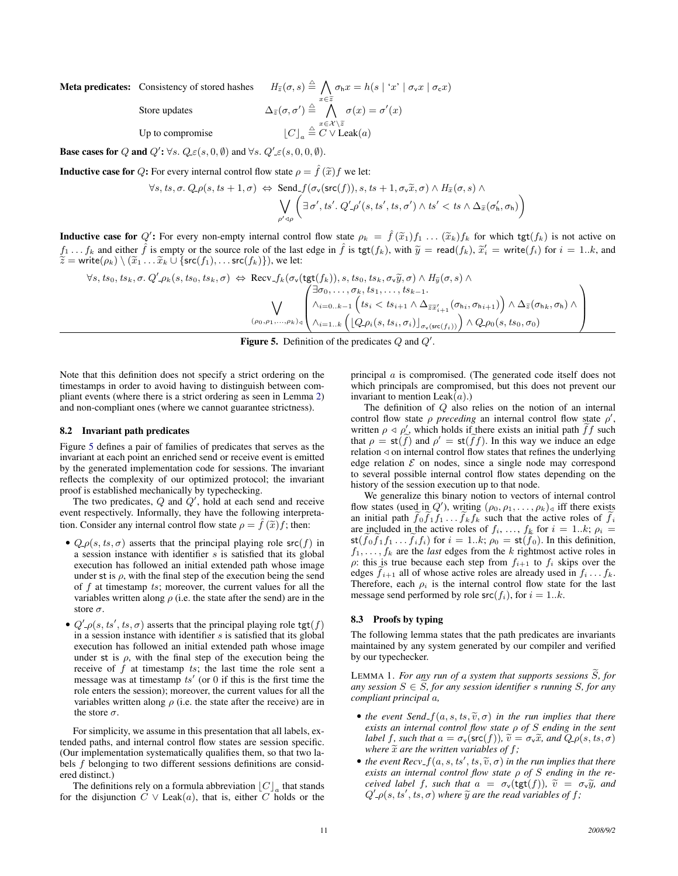Meta predicates: Consistency of stored hashes

$$
H_{\tilde{z}}(\sigma, s) \stackrel{\triangle}{=} \bigwedge_{x \in \tilde{z}} \sigma_{h} x = h(s \mid 'x' \mid \sigma_{v} x \mid \sigma_{c} x)
$$

$$
\Delta_{\tilde{z}}(\sigma, \sigma') \stackrel{\triangle}{=} \bigwedge_{x \in \mathcal{X} \setminus \tilde{z}}^{\infty} \sigma(x) = \sigma'(x)
$$

$$
\lfloor C \rfloor_{a} \stackrel{\triangle}{=} C \vee \text{Leak}(a)
$$

Up to compromise  $\lfloor C \rfloor_a$ 

Store updates

**Base cases for** Q and  $Q'$ :  $\forall s$ .  $Q \in (s, 0, \emptyset)$  and  $\forall s$ .  $Q' \in (s, 0, 0, \emptyset)$ .

**Inductive case for** Q: For every internal control flow state  $\rho = \hat{f}(\tilde{x})f$  we let:

$$
\forall s, ts, \sigma. Q \rho(s, ts + 1, \sigma) \Leftrightarrow \text{Send}_{\text{f}}(\sigma_v(\text{src}(f)), s, ts + 1, \sigma_v \widetilde{x}, \sigma) \wedge H_{\widetilde{x}}(\sigma, s) \wedge \\ \bigvee_{\rho' \triangleleft \rho} \left( \exists \sigma', ts'. \ Q' \rho'(s, ts', ts, \sigma') \wedge ts' < ts \wedge \Delta_{\widetilde{x}}(\sigma'_h, \sigma_h) \right)
$$

**Inductive case for**  $Q'$ : For every non-empty internal control flow state  $\rho_k = \hat{f}(\tilde{x}_1)f_1 \dots (\tilde{x}_k)f_k$  for which  $\text{tgt}(f_k)$  is not active on  $f_k$  and side  $\hat{f}$  is not active on  $f_k$  and side  $\hat{f}$  is not active on  $f_1 \dots f_k$  and either  $\hat{f}$  is empty or the source role of the last edge in  $\hat{f}$  is tgt $(f_k)$ , with  $\tilde{y} = \text{read}(f_k)$ ,  $\tilde{x}'_i = \text{write}(f_i)$  for  $i = 1..k$ , and  $\tilde{z} = \text{write}(g_i) \setminus (\tilde{x}_i - \tilde{x}_i + 1 \text{ for } (f_i)$  or  $f_i > \text{write}(f_i)$  $\widetilde{z}$  = write( $\rho_k$ ) \  $(\widetilde{x}_1 \ldots \widetilde{x}_k \cup \{ \mathsf{src}(f_1), \ldots \mathsf{src}(f_k) \}),$  we let:

$$
\forall s, ts_0, ts_k, \sigma. Q' - \rho_k(s, ts_0, ts_k, \sigma) \Leftrightarrow \text{Recv}_{\text{max}} f_k(\sigma_v(\text{tgt}(f_k)), s, ts_0, ts_k, \sigma_v \widetilde{y}, \sigma) \wedge H_{\widetilde{y}}(\sigma, s) \wedge \sqrt{\sqrt{\sum_{i=0, \dots, s \sigma_k, ts_1, \dots, ts_{k-1}. \atop \wedge i=0..k-1} \left( \sum_{i=0, k-1}^{n=0, \dots, \sigma_k, ts_1, \dots, ts_{k-1}} \left( \sum_{i=1, k}^{n=1, \dots, s_{k-1}} \left( \sigma_{h_i}, \sigma_{h_{i+1}} \right) \right) \wedge \Delta_{\widetilde{z}}(\sigma_{h_k}, \sigma_{h}) \wedge \right) \wedge \rho_{\sigma}(s, ts_0, \sigma_0)}
$$

<span id="page-10-0"></span>Figure 5. Definition of the predicates  $Q$  and  $Q'$ .

Note that this definition does not specify a strict ordering on the timestamps in order to avoid having to distinguish between compliant events (where there is a strict ordering as seen in Lemma [2\)](#page-12-0) and non-compliant ones (where we cannot guarantee strictness).

#### 8.2 Invariant path predicates

Figure [5](#page-10-0) defines a pair of families of predicates that serves as the invariant at each point an enriched send or receive event is emitted by the generated implementation code for sessions. The invariant reflects the complexity of our optimized protocol; the invariant proof is established mechanically by typechecking.

The two predicates,  $Q$  and  $Q'$ , hold at each send and receive event respectively. Informally, they have the following interpretation. Consider any internal control flow state  $\rho = f(\tilde{x})f$ ; then:

- $Q_\text{L} \rho(s, ts, \sigma)$  asserts that the principal playing role src $(f)$  in a session instance with identifier  $s$  is satisfied that its global execution has followed an initial extended path whose image under st is  $\rho$ , with the final step of the execution being the send of f at timestamp ts; moreover, the current values for all the variables written along  $\rho$  (i.e. the state after the send) are in the store  $\sigma$ .
- $Q'_{-\rho}(s, ts', ts, \sigma)$  asserts that the principal playing role tgt $(f)$ in a session instance with identifier  $s$  is satisfied that its global execution has followed an initial extended path whose image under st is  $\rho$ , with the final step of the execution being the receive of  $f$  at timestamp  $ts$ ; the last time the role sent a message was at timestamp  $ts'$  (or 0 if this is the first time the role enters the session); moreover, the current values for all the variables written along  $\rho$  (i.e. the state after the receive) are in the store  $\sigma$ .

For simplicity, we assume in this presentation that all labels, extended paths, and internal control flow states are session specific. (Our implementation systematically qualifies them, so that two labels f belonging to two different sessions definitions are considered distinct.)

The definitions rely on a formula abbreviation  $\lfloor C \rfloor_a$  that stands for the disjunction  $\overline{C} \vee$  Leak(a), that is, either  $\overline{C}$  holds or the

principal a is compromised. (The generated code itself does not which principals are compromised, but this does not prevent our invariant to mention  $\text{Leak}(a)$ .)

The definition of  $Q$  also relies on the notion of an internal control flow state  $\rho$  *preceding* an internal control flow state  $\rho'$ , written  $\rho \triangleleft \rho'$ , which holds if there exists an initial path  $\widetilde{f}f$  such that  $\rho = \mathsf{st}(\widetilde{f})$  and  $\rho' = \mathsf{st}(\widetilde{f}f)$ . In this way we induce an edge relation  $\triangleleft$  on internal control flow states that refines the underlying edge relation  $\mathcal E$  on nodes, since a single node may correspond to several possible internal control flow states depending on the history of the session execution up to that node.

We generalize this binary notion to vectors of internal control flow states (used in  $Q'$ ), writing  $(\rho_0, \rho_1, \ldots, \rho_k)$  iff there exists an initial path  $f_0f_1f_1 \dots f_kf_k$  such that the active roles of  $f_i$ are included in the active roles of  $f_i, \ldots, f_k$  for  $i = 1..k; \rho_i =$  $\mathsf{st}(\tilde{f}_0\tilde{f}_1\tilde{f}_1\ldots\tilde{f}_i\tilde{f}_i)$  for  $i=1..k; \rho_0 = \mathsf{st}(\tilde{f}_0)$ . In this definition,  $f_1, \ldots, f_k$  are the *last* edges from the k rightmost active roles in  $\rho$ : this is true because each step from  $f_{i+1}$  to  $f_i$  skips over the edges  $f_{i+1}$  all of whose active roles are already used in  $f_i \dots f_k$ . Therefore, each  $\rho_i$  is the internal control flow state for the last message send performed by role  $src(f_i)$ , for  $i = 1..k$ .

#### 8.3 Proofs by typing

<span id="page-10-1"></span>The following lemma states that the path predicates are invariants maintained by any system generated by our compiler and verified by our typechecker.

LEMMA 1. For any run of a system that supports sessions  $\widetilde{S}$ , for any session  $S \in \widetilde{S}$ , for any session identifier s running S, for any *compliant principal* a*,*

- *the event Send\_f*( $a, s, ts, \tilde{v}, \sigma$ ) *in the run implies that there exists an internal control flow state* ρ *of* S *ending in the sent label* f, such that  $a = \sigma_v(\mathsf{src}(f))$ ,  $\tilde{v} = \sigma_v\tilde{x}$ , and  $Q_\rho(s, ts, \sigma)$ *where*  $\tilde{x}$  *are the written variables of f;*
- *the event Recv*  $f(a, s, ts', ts, \tilde{v}, \sigma)$  *in the run implies that there* exists an internal control flow state o of S ending in the re*exists an internal control flow state* ρ *of* S *ending in the received label f, such that*  $a = \sigma_v(\text{tgt}(f))$ *,*  $\tilde{v} = \sigma_v \tilde{y}$ *, and*  $Q'$ <sub>- $\rho$ </sub> $(s, ts', ts, \sigma)$  *where*  $\widetilde{y}$  *are the read variables of f*;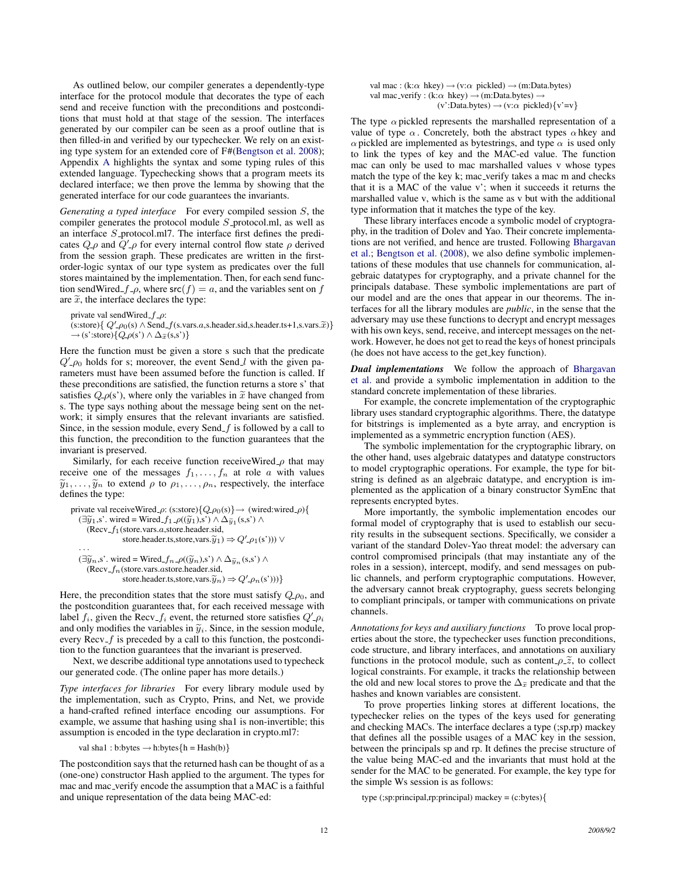As outlined below, our compiler generates a dependently-type interface for the protocol module that decorates the type of each send and receive function with the preconditions and postconditions that must hold at that stage of the session. The interfaces generated by our compiler can be seen as a proof outline that is then filled-in and verified by our typechecker. We rely on an existing type system for an extended core of F#[\(Bengtson et al.](#page-14-2) [2008\)](#page-14-2); Appendix [A](#page-14-18) highlights the syntax and some typing rules of this extended language. Typechecking shows that a program meets its declared interface; we then prove the lemma by showing that the generated interface for our code guarantees the invariants.

*Generating a typed interface* For every compiled session S, the compiler generates the protocol module  $S$ -protocol.ml, as well as an interface  $S_$ -protocol.ml7. The interface first defines the predicates  $Q$ - $\rho$  and  $Q'$ - $\rho$  for every internal control flow state  $\rho$  derived from the session graph. These predicates are written in the firstorder-logic syntax of our type system as predicates over the full stores maintained by the implementation. Then, for each send function sendWired  $f_{-\rho}$ , where src(f) = a, and the variables sent on f are  $\tilde{x}$ , the interface declares the type:

private val sendWired\_ $f$ <sub>- $\rho$ </sub>: (s:store){ $Q'$ - $\rho_0$ (s)  $\land$  Send\_ $f$ (s.vars.a,s.header.sid,s.header.ts+1,s.vars. $\widetilde{x}$ )}  $\rightarrow$  (s':store){ $Q_\text{p}(s') \wedge \Delta_{\widetilde{x}}(s,s')$ }

Here the function must be given a store s such that the predicate  $Q'$ - $\rho$ <sup>0</sup> holds for s; moreover, the event Send<sub>-</sub>l with the given parameters must have been assumed before the function is called. If these preconditions are satisfied, the function returns a store s' that satisfies  $Q_\text{P}(s')$ , where only the variables in  $\tilde{x}$  have changed from s. The type says nothing about the message being sent on the network; it simply ensures that the relevant invariants are satisfied. Since, in the session module, every Send  $f$  is followed by a call to this function, the precondition to the function guarantees that the invariant is preserved.

Similarly, for each receive function receiveWired  $\rho$  that may receive one of the messages  $f_1, \ldots, f_n$  at role a with values  $\tilde{y}_1, \ldots, \tilde{y}_n$  to extend  $\rho$  to  $\rho_1, \ldots, \rho_n$ , respectively, the interface defines the type:

```
private val receiveWired_\rho: (s:store){Q \text{-} \rho_0(s)} \rightarrow (wired:wired_\rho){
    (\exists \widetilde{y}_1, s'. wired = Wired f_1 \cdot \rho((\widetilde{y}_1), s') \wedge \Delta_{\widetilde{y}_1}(s, s') \wedge(Recv_f_1(\text{store}.\text{vars}.a,\text{store}.\text{header}.\text{sid},store.header.ts,store,vars.\tilde{y}_1) \Rightarrow Q'<sub>-\rho_1(s')))</sub> \vee· · ·
    (\exists \widetilde{y}_n, s'. wired = Wired_f_n \lrcorner \rho((\widetilde{y}_n), s') \wedge \Delta_{\widetilde{y}_n}(s, s') \wedge(Recv-f_n)(store.vars.astore.header.sid,store.header.ts,store,vars.\tilde{y}_n) \Rightarrow Q'_{-} \rho_n(s'))
```
Here, the precondition states that the store must satisfy  $Q_{\text{-}}\rho_0$ , and the postcondition guarantees that, for each received message with label  $f_i$ , given the Recv<sub>-</sub> $f_i$  event, the returned store satisfies  $Q'_{\perp} \rho_i$ and only modifies the variables in  $\tilde{y}_i$ . Since, in the session module, every  $Recv_f$  is preceded by a call to this function, the postcondition to the function guarantees that the invariant is preserved.

Next, we describe additional type annotations used to typecheck our generated code. (The online paper has more details.)

*Type interfaces for libraries* For every library module used by the implementation, such as Crypto, Prins, and Net, we provide a hand-crafted refined interface encoding our assumptions. For example, we assume that hashing using sha1 is non-invertible; this assumption is encoded in the type declaration in crypto.ml7:

val sha1 : b:bytes  $\rightarrow$  h:bytes ${h = Hash(b)}$ 

The postcondition says that the returned hash can be thought of as a (one-one) constructor Hash applied to the argument. The types for mac and mac verify encode the assumption that a MAC is a faithful and unique representation of the data being MAC-ed:

| val mac: $(k:\alpha \text{ hkey}) \rightarrow (v:\alpha \text{ pickled}) \rightarrow (m:\text{Data.bytes})$ |
|-------------------------------------------------------------------------------------------------------------|
| val mac_verify : (k: $\alpha$ hkey) $\rightarrow$ (m:Data.bytes) $\rightarrow$                              |
| $(v':Data.bytes) \rightarrow (v:\alpha \text{ pickled})\{v'=v\}$                                            |

The type  $\alpha$  pickled represents the marshalled representation of a value of type  $\alpha$ . Concretely, both the abstract types  $\alpha$  hkey and  $\alpha$  pickled are implemented as bytestrings, and type  $\alpha$  is used only to link the types of key and the MAC-ed value. The function mac can only be used to mac marshalled values v whose types match the type of the key k; mac verify takes a mac m and checks that it is a MAC of the value v'; when it succeeds it returns the marshalled value v, which is the same as v but with the additional type information that it matches the type of the key.

These library interfaces encode a symbolic model of cryptography, in the tradition of Dolev and Yao. Their concrete implementations are not verified, and hence are trusted. Following [Bhargavan](#page-14-1) [et al.;](#page-14-1) [Bengtson et al.](#page-14-2) [\(2008\)](#page-14-2), we also define symbolic implementations of these modules that use channels for communication, algebraic datatypes for cryptography, and a private channel for the principals database. These symbolic implementations are part of our model and are the ones that appear in our theorems. The interfaces for all the library modules are *public*, in the sense that the adversary may use these functions to decrypt and encrypt messages with his own keys, send, receive, and intercept messages on the network. However, he does not get to read the keys of honest principals (he does not have access to the get key function).

*Dual implementations* We follow the approach of [Bhargavan](#page-14-1) [et al.](#page-14-1) and provide a symbolic implementation in addition to the standard concrete implementation of these libraries.

For example, the concrete implementation of the cryptographic library uses standard cryptographic algorithms. There, the datatype for bitstrings is implemented as a byte array, and encryption is implemented as a symmetric encryption function (AES).

The symbolic implementation for the cryptographic library, on the other hand, uses algebraic datatypes and datatype constructors to model cryptographic operations. For example, the type for bitstring is defined as an algebraic datatype, and encryption is implemented as the application of a binary constructor SymEnc that represents encrypted bytes.

More importantly, the symbolic implementation encodes our formal model of cryptography that is used to establish our security results in the subsequent sections. Specifically, we consider a variant of the standard Dolev-Yao threat model: the adversary can control compromised principals (that may instantiate any of the roles in a session), intercept, modify, and send messages on public channels, and perform cryptographic computations. However, the adversary cannot break cryptography, guess secrets belonging to compliant principals, or tamper with communications on private channels.

*Annotations for keys and auxiliary functions* To prove local properties about the store, the typechecker uses function preconditions, code structure, and library interfaces, and annotations on auxiliary functions in the protocol module, such as content  $\rho \tilde{z}$ , to collect logical constraints. For example, it tracks the relationship between the old and new local stores to prove the  $\Delta_{\tilde{x}}$  predicate and that the hashes and known variables are consistent.

To prove properties linking stores at different locations, the typechecker relies on the types of the keys used for generating and checking MACs. The interface declares a type (;sp,rp) mackey that defines all the possible usages of a MAC key in the session, between the principals sp and rp. It defines the precise structure of the value being MAC-ed and the invariants that must hold at the sender for the MAC to be generated. For example, the key type for the simple Ws session is as follows:

type (;sp:principal,rp:principal) mackey = (c:bytes){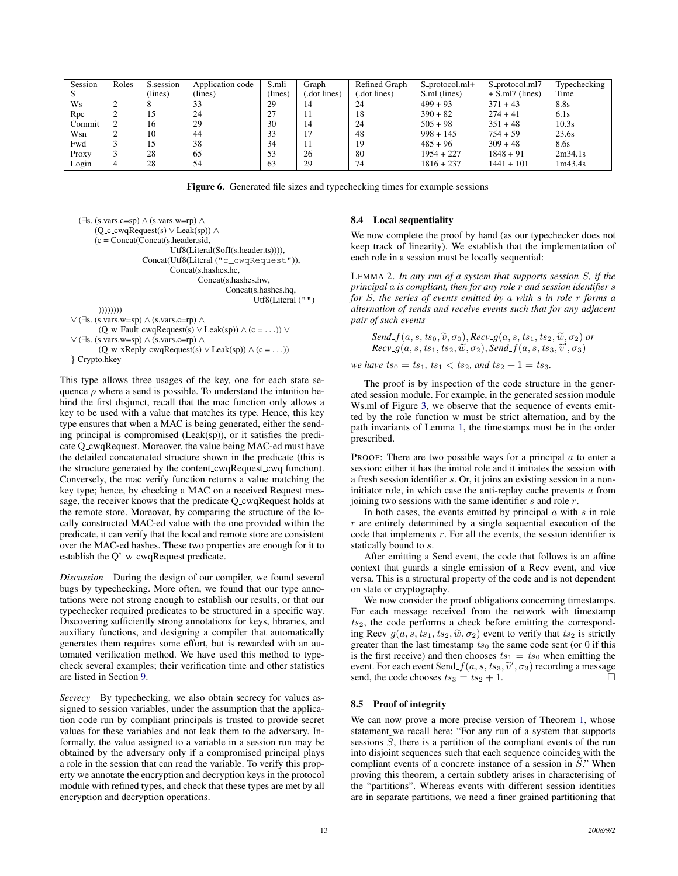| Session | Roles | S.session | Application code | S.mli   | Graph       | Refined Graph | S_protocol.ml+ | S_protocol.ml7    | Typechecking |
|---------|-------|-----------|------------------|---------|-------------|---------------|----------------|-------------------|--------------|
|         |       | (lines)   | (lines)          | (lines) | dot lines). | dot lines).   | S.ml (lines)   | $+$ S.ml7 (lines) | Time         |
| Ws      |       |           | 33               | 29      | 14          | 24            | $499 + 93$     | $371 + 43$        | 8.8s         |
| Rpc     | ∸     | 15        | 24               | 27      | 11          | 18            | $390 + 82$     | $274 + 41$        | 6.1s         |
| Commit  |       | 16        | 29               | 30      | 14          | 24            | $505 + 98$     | $351 + 48$        | 10.3s        |
| Wsn     |       | 10        | 44               | 33      |             | 48            | $998 + 145$    | $754 + 59$        | 23.6s        |
| Fwd     |       | 15        | 38               | 34      | 11          | 19            | $485 + 96$     | $309 + 48$        | 8.6s         |
| Proxy   |       | 28        | 65               | 53      | 26          | 80            | $1954 + 227$   | $1848 + 91$       | 2m34.1s      |
| Login   | 4     | 28        | 54               | 63      | 29          | 74            | $1816 + 237$   | $1441 + 101$      | 1m43.4s      |

<span id="page-12-1"></span>Figure 6. Generated file sizes and typechecking times for example sessions

```
(∃s. (s.vars.c=sp) ∧ (s.vars.w=rp) ∧
      (Q c cwqRequest(s) ∨ Leak(sp)) ∧
      (c = Concat(Concat(s, header, sid,Utf8(Literal(SofI(s.header.ts)))),
                    Concat(Utf8(Literal ("c_cwqRequest")),
                            Concat(s.hashes.hc,
                                    Concat(s.hashes.hw,
                                            Concat(s.hashes.hq,
                                                    Utf8(Literal ("")
        ))))))))
∨ (∃s. (s.vars.w=sp) ∧ (s.vars.c=rp) ∧
       (Q_w_Fault_cwqRequest(s) \vee Leak(sp)) \wedge (c = ...)) \vee∨ (∃s. (s.vars.w=sp) ∧ (s.vars.c=rp) ∧
       (Q_w_xReply_cwqRequest(s) \lor Leak(sp)) \land (c = . . .))
```

```
} Crypto.hkey
```
This type allows three usages of the key, one for each state sequence  $\rho$  where a send is possible. To understand the intuition behind the first disjunct, recall that the mac function only allows a key to be used with a value that matches its type. Hence, this key type ensures that when a MAC is being generated, either the sending principal is compromised (Leak(sp)), or it satisfies the predicate Q cwqRequest. Moreover, the value being MAC-ed must have the detailed concatenated structure shown in the predicate (this is the structure generated by the content cwqRequest cwq function). Conversely, the mac verify function returns a value matching the key type; hence, by checking a MAC on a received Request message, the receiver knows that the predicate Q cwqRequest holds at the remote store. Moreover, by comparing the structure of the locally constructed MAC-ed value with the one provided within the predicate, it can verify that the local and remote store are consistent over the MAC-ed hashes. These two properties are enough for it to establish the  $Q'$  w cwqRequest predicate.

*Discussion* During the design of our compiler, we found several bugs by typechecking. More often, we found that our type annotations were not strong enough to establish our results, or that our typechecker required predicates to be structured in a specific way. Discovering sufficiently strong annotations for keys, libraries, and auxiliary functions, and designing a compiler that automatically generates them requires some effort, but is rewarded with an automated verification method. We have used this method to typecheck several examples; their verification time and other statistics are listed in Section [9.](#page-13-0)

*Secrecy* By typechecking, we also obtain secrecy for values assigned to session variables, under the assumption that the application code run by compliant principals is trusted to provide secret values for these variables and not leak them to the adversary. Informally, the value assigned to a variable in a session run may be obtained by the adversary only if a compromised principal plays a role in the session that can read the variable. To verify this property we annotate the encryption and decryption keys in the protocol module with refined types, and check that these types are met by all encryption and decryption operations.

## 8.4 Local sequentiality

We now complete the proof by hand (as our typechecker does not keep track of linearity). We establish that the implementation of each role in a session must be locally sequential:

<span id="page-12-0"></span>LEMMA 2. *In any run of a system that supports session* S*, if the principal* a *is compliant, then for any role* r *and session identifier* s *for* S*, the series of events emitted by* a *with* s *in role* r *forms a alternation of sends and receive events such that for any adjacent pair of such events*

*Send*  $f(a, s, ts_0, \tilde{v}, \sigma_0)$ , *Recv*  $g(a, s, ts_1, ts_2, \tilde{w}, \sigma_2)$  *or*  $\textit{Rev.g}(a, s, ts_1, ts_2, \widetilde{w}, \sigma_2), \textit{Send\_f}(a, s, ts_3, \widetilde{v}', \sigma_3)$ 

*we have*  $ts_0 = ts_1$ ,  $ts_1 < ts_2$ , and  $ts_2 + 1 = ts_3$ .

The proof is by inspection of the code structure in the generated session module. For example, in the generated session module Ws.ml of Figure [3,](#page-5-1) we observe that the sequence of events emitted by the role function w must be strict alternation, and by the path invariants of Lemma [1,](#page-10-1) the timestamps must be in the order prescribed.

PROOF: There are two possible ways for a principal  $a$  to enter a session: either it has the initial role and it initiates the session with a fresh session identifier s. Or, it joins an existing session in a noninitiator role, in which case the anti-replay cache prevents  $a$  from joining two sessions with the same identifier  $s$  and role  $r$ .

In both cases, the events emitted by principal  $a$  with  $s$  in role  $r$  are entirely determined by a single sequential execution of the code that implements  $r$ . For all the events, the session identifier is statically bound to s.

After emitting a Send event, the code that follows is an affine context that guards a single emission of a Recv event, and vice versa. This is a structural property of the code and is not dependent on state or cryptography.

We now consider the proof obligations concerning timestamps. For each message received from the network with timestamp  $ts<sub>2</sub>$ , the code performs a check before emitting the corresponding Recv<sub>-9</sub> $(a, s, ts_1, ts_2, \tilde{w}, \sigma_2)$  event to verify that  $ts_2$  is strictly greater than the last timestamp  $ts_0$  the same code sent (or 0 if this is the first receive) and then chooses  $ts_1 = ts_0$  when emitting the event. For each event Send  $f(a, s, ts_3, \tilde{v}', \sigma_3)$  recording a message<br>send, the code chooses  $ts_2 = ts_2 + 1$ send, the code chooses  $ts_3 = ts_2 + 1$ .

## 8.5 Proof of integrity

We can now prove a more precise version of Theorem [1,](#page-5-3) whose statement we recall here: "For any run of a system that supports sessions  $\tilde{S}$ , there is a partition of the compliant events of the run into disjoint sequences such that each sequence coincides with the compliant events of a concrete instance of a session in  $S$ ." When proving this theorem, a certain subtlety arises in characterising of the "partitions". Whereas events with different session identities are in separate partitions, we need a finer grained partitioning that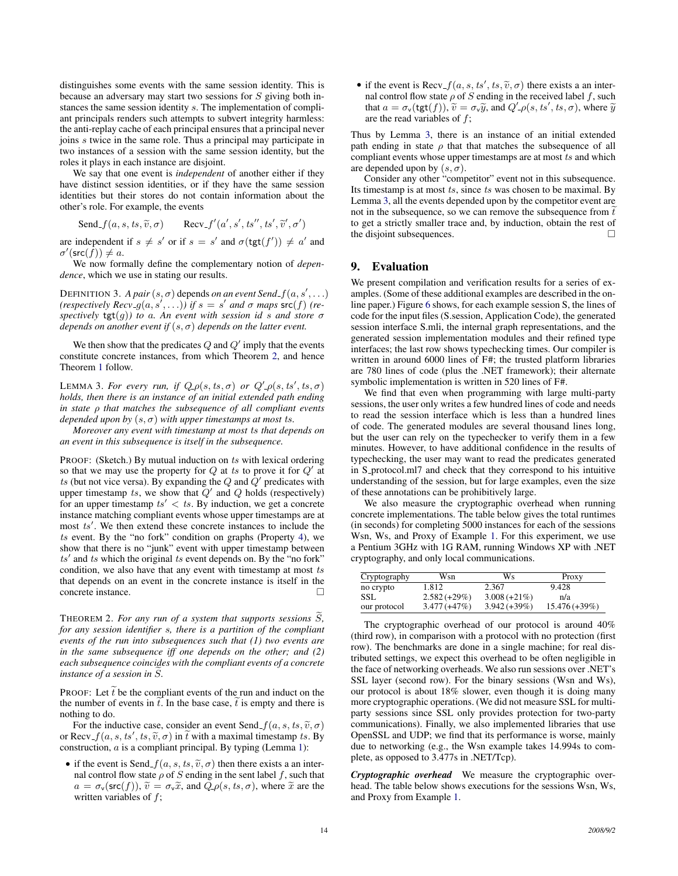distinguishes some events with the same session identity. This is because an adversary may start two sessions for S giving both instances the same session identity s. The implementation of compliant principals renders such attempts to subvert integrity harmless: the anti-replay cache of each principal ensures that a principal never joins s twice in the same role. Thus a principal may participate in two instances of a session with the same session identity, but the roles it plays in each instance are disjoint.

We say that one event is *independent* of another either if they have distinct session identities, or if they have the same session identities but their stores do not contain information about the other's role. For example, the events

Send  $f(a, s, ts, \tilde{v}, \sigma)$  $\mathcal{C}(a',s',ts'',ts',\widetilde{v}',\sigma')$ 

are independent if  $s \neq s'$  or if  $s = s'$  and  $\sigma(\text{tgt}(f')) \neq a'$  and  $\sigma'(\mathsf{src}(\tilde{f})) \neq a.$ 

We now formally define the complementary notion of *dependence*, which we use in stating our results.

DEFINITION 3. *A pair*  $(s, \sigma)$  depends *on an event Send\_f*  $(a, s', \ldots)$  $(respectively Rev_g(a, s', \ldots))$  if  $s = s'$  and  $\sigma$  maps  $src(f)$  (re*spectively*  $\text{tgt}(g)$ *) to a. An event with session id s and store*  $\sigma$ *depends on another event if*  $(s, \sigma)$  *depends on the latter event.* 

We then show that the predicates  $Q$  and  $Q'$  imply that the events constitute concrete instances, from which Theorem [2,](#page-13-1) and hence Theorem [1](#page-5-3) follow.

<span id="page-13-2"></span>LEMMA 3. For every run, if  $Q_{\theta}(s, ts, \sigma)$  or  $Q'_{-\theta}(s, ts', ts, \sigma)$ *holds, then there is an instance of an initial extended path ending in state* ρ *that matches the subsequence of all compliant events depended upon by*  $(s, \sigma)$  *with upper timestamps at most ts.* 

*Moreover any event with timestamp at most* ts *that depends on an event in this subsequence is itself in the subsequence.*

PROOF: (Sketch.) By mutual induction on ts with lexical ordering so that we may use the property for  $Q$  at ts to prove it for  $Q'$  at ts (but not vice versa). By expanding the  $Q$  and  $\dot{Q}'$  predicates with upper timestamp ts, we show that  $Q'$  and  $Q$  holds (respectively) for an upper timestamp  $ts' < ts$ . By induction, we get a concrete instance matching compliant events whose upper timestamps are at most ts'. We then extend these concrete instances to include the  $ts$  event. By the "no fork" condition on graphs (Property [4\)](#page-3-4), we show that there is no "junk" event with upper timestamp between  $ts'$  and  $ts$  which the original  $ts$  event depends on. By the "no fork" condition, we also have that any event with timestamp at most ts that depends on an event in the concrete instance is itself in the concrete instance.

<span id="page-13-1"></span>THEOREM 2. For any run of a system that supports sessions  $\tilde{S}$ , *for any session identifier* s*, there is a partition of the compliant events of the run into subsequences such that (1) two events are in the same subsequence iff one depends on the other; and (2) each subsequence coincides with the compliant events of a concrete instance of a session in S.* 

PROOF: Let  $\tilde{t}$  be the compliant events of the run and induct on the the number of events in  $\hat{t}$ . In the base case,  $\hat{t}$  is empty and there is nothing to do.

For the inductive case, consider an event Send  $f(a, s, ts, \tilde{v}, \sigma)$ or Recv<sub>-</sub> $f(a, s, ts', ts, \tilde{v}, \sigma)$  in  $\tilde{t}$  with a maximal timestamp ts. By construction a is a compliant principal. By typing (Lemma 1): construction,  $a$  is a compliant principal. By typing (Lemma [1\)](#page-10-1):

• if the event is Send<sub>-f</sub> $(a, s, ts, \tilde{v}, \sigma)$  then there exists a an internal control flow state  $\rho$  of S ending in the sent label f, such that  $a = \sigma_{\mathsf{v}}(\mathsf{src}(f)), \tilde{v} = \sigma_{\mathsf{v}}\tilde{x}$ , and  $\tilde{Q}_{\mathsf{v}}(s, ts, \sigma)$ , where  $\tilde{x}$  are the written variables of  $f$ ;

• if the event is  $Recv_f(a, s, ts', ts, \tilde{v}, \sigma)$  there exists a an inter-<br>nal control flow state o of S ending in the received label f, such nal control flow state  $\rho$  of S ending in the received label f, such that  $a = \sigma_v(\text{tgt}(f)), \tilde{v} = \sigma_v \tilde{y}$ , and  $Q'_{-\rho}(s, ts', ts, \sigma)$ , where  $\tilde{y}$ are the read variables of f;

Thus by Lemma [3,](#page-13-2) there is an instance of an initial extended path ending in state  $\rho$  that that matches the subsequence of all compliant events whose upper timestamps are at most ts and which are depended upon by  $(s, \sigma)$ .

Consider any other "competitor" event not in this subsequence. Its timestamp is at most  $ts$ , since  $ts$  was chosen to be maximal. By Lemma [3,](#page-13-2) all the events depended upon by the competitor event are not in the subsequence, so we can remove the subsequence from  $\tilde{t}$ to get a strictly smaller trace and, by induction, obtain the rest of the disjoint subsequences.

# <span id="page-13-0"></span>9. Evaluation

We present compilation and verification results for a series of examples. (Some of these additional examples are described in the online paper.) Figure [6](#page-12-1) shows, for each example session S, the lines of code for the input files (S.session, Application Code), the generated session interface S.mli, the internal graph representations, and the generated session implementation modules and their refined type interfaces; the last row shows typechecking times. Our compiler is written in around 6000 lines of F#; the trusted platform libraries are 780 lines of code (plus the .NET framework); their alternate symbolic implementation is written in 520 lines of F#.

We find that even when programming with large multi-party sessions, the user only writes a few hundred lines of code and needs to read the session interface which is less than a hundred lines of code. The generated modules are several thousand lines long, but the user can rely on the typechecker to verify them in a few minutes. However, to have additional confidence in the results of typechecking, the user may want to read the predicates generated in S protocol.ml7 and check that they correspond to his intuitive understanding of the session, but for large examples, even the size of these annotations can be prohibitively large.

We also measure the cryptographic overhead when running concrete implementations. The table below gives the total runtimes (in seconds) for completing 5000 instances for each of the sessions Wsn, Ws, and Proxy of Example [1.](#page-2-0) For this experiment, we use a Pentium 3GHz with 1G RAM, running Windows XP with .NET cryptography, and only local communications.

| Cryptography | Wsn           | Ws             | Proxy          |
|--------------|---------------|----------------|----------------|
| no crypto    | 1.812         | 2.367          | 9.428          |
| SSL.         | $2.582(+29%)$ | $3.008(+21\%)$ | n/a            |
| our protocol | $3.477(+47%)$ | $3.942(+39%)$  | $15.476(+39%)$ |

The cryptographic overhead of our protocol is around 40% (third row), in comparison with a protocol with no protection (first row). The benchmarks are done in a single machine; for real distributed settings, we expect this overhead to be often negligible in the face of networking overheads. We also run sessions over .NET's SSL layer (second row). For the binary sessions (Wsn and Ws), our protocol is about 18% slower, even though it is doing many more cryptographic operations. (We did not measure SSL for multiparty sessions since SSL only provides protection for two-party communications). Finally, we also implemented libraries that use OpenSSL and UDP; we find that its performance is worse, mainly due to networking (e.g., the Wsn example takes 14.994s to complete, as opposed to 3.477s in .NET/Tcp).

*Cryptographic overhead* We measure the cryptographic overhead. The table below shows executions for the sessions Wsn, Ws, and Proxy from Example [1.](#page-2-0)